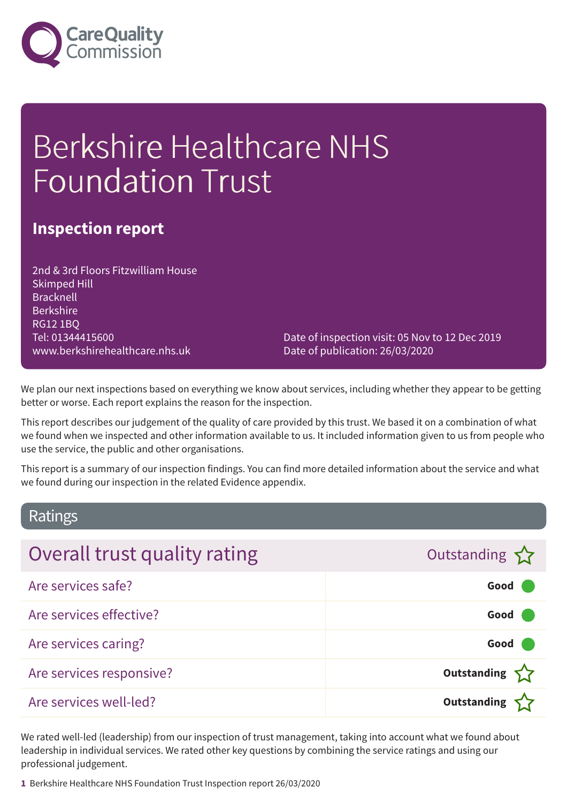

# Berkshire Healthcare NHS Foundation Trust

### **Inspection report**

2nd & 3rd Floors Fitzwilliam House Skimped Hill Bracknell Berkshire RG12 1BQ Tel: 01344415600 www.berkshirehealthcare.nhs.uk

Date of inspection visit: 05 Nov to 12 Dec 2019 Date of publication: 26/03/2020

We plan our next inspections based on everything we know about services, including whether they appear to be getting better or worse. Each report explains the reason for the inspection.

This report describes our judgement of the quality of care provided by this trust. We based it on a combination of what we found when we inspected and other information available to us. It included information given to us from people who use the service, the public and other organisations.

This report is a summary of our inspection findings. You can find more detailed information about the service and what we found during our inspection in the related Evidence appendix.

### Ratings

| Overall trust quality rating | Outstanding        |
|------------------------------|--------------------|
| Are services safe?           | Good               |
| Are services effective?      | Good               |
| Are services caring?         | Good               |
| Are services responsive?     | Outstanding $\sum$ |
| Are services well-led?       | <b>Outstanding</b> |

We rated well-led (leadership) from our inspection of trust management, taking into account what we found about leadership in individual services. We rated other key questions by combining the service ratings and using our professional judgement.

**1** Berkshire Healthcare NHS Foundation Trust Inspection report 26/03/2020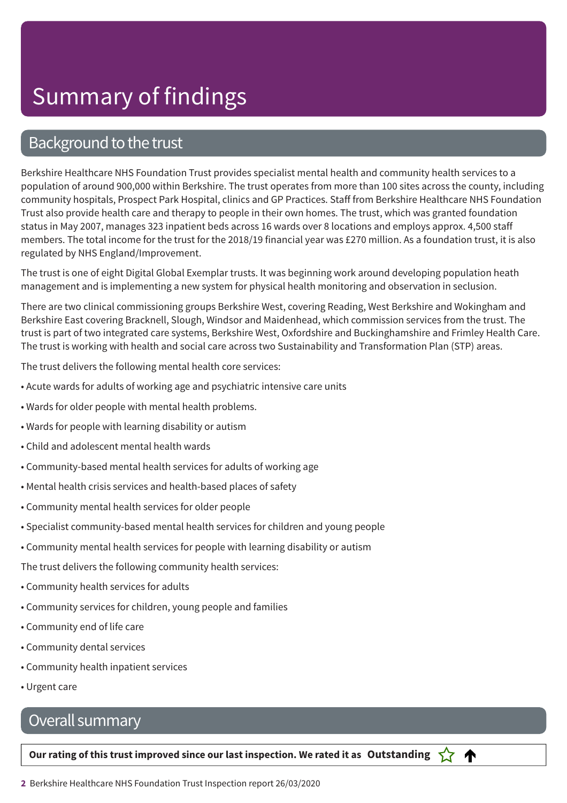### Background to the trust

Berkshire Healthcare NHS Foundation Trust provides specialist mental health and community health services to a population of around 900,000 within Berkshire. The trust operates from more than 100 sites across the county, including community hospitals, Prospect Park Hospital, clinics and GP Practices. Staff from Berkshire Healthcare NHS Foundation Trust also provide health care and therapy to people in their own homes. The trust, which was granted foundation status in May 2007, manages 323 inpatient beds across 16 wards over 8 locations and employs approx. 4,500 staff members. The total income for the trust for the 2018/19 financial year was £270 million. As a foundation trust, it is also regulated by NHS England/Improvement.

The trust is one of eight Digital Global Exemplar trusts. It was beginning work around developing population heath management and is implementing a new system for physical health monitoring and observation in seclusion.

There are two clinical commissioning groups Berkshire West, covering Reading, West Berkshire and Wokingham and Berkshire East covering Bracknell, Slough, Windsor and Maidenhead, which commission services from the trust. The trust is part of two integrated care systems, Berkshire West, Oxfordshire and Buckinghamshire and Frimley Health Care. The trust is working with health and social care across two Sustainability and Transformation Plan (STP) areas.

The trust delivers the following mental health core services:

- Acute wards for adults of working age and psychiatric intensive care units
- Wards for older people with mental health problems.
- Wards for people with learning disability or autism
- Child and adolescent mental health wards
- Community-based mental health services for adults of working age
- Mental health crisis services and health-based places of safety
- Community mental health services for older people
- Specialist community-based mental health services for children and young people
- Community mental health services for people with learning disability or autism

The trust delivers the following community health services:

- Community health services for adults
- Community services for children, young people and families
- Community end of life care
- Community dental services
- Community health inpatient services
- Urgent care

### Overall summary

Our rating of this trust improved since our last inspection. We rated it as Outstanding  $\sum$ 

♠

**2** Berkshire Healthcare NHS Foundation Trust Inspection report 26/03/2020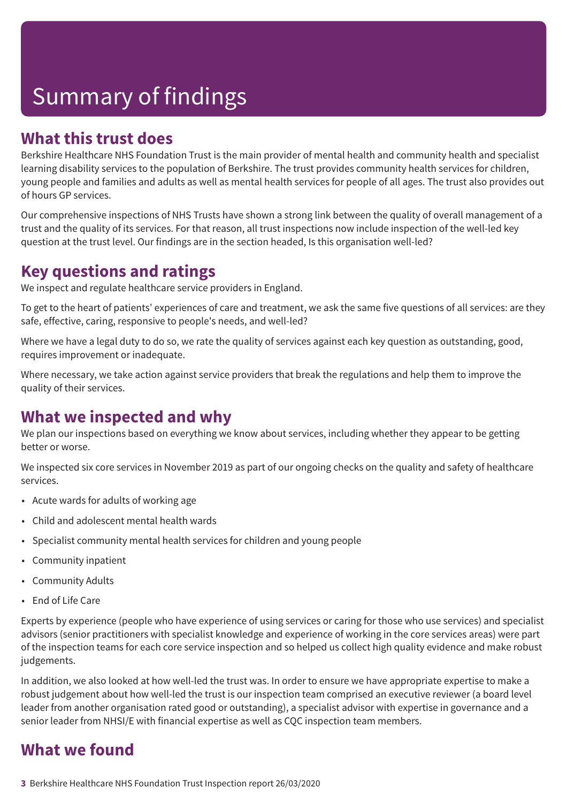### **What this trust does**

Berkshire Healthcare NHS Foundation Trust is the main provider of mental health and community health and specialist learning disability services to the population of Berkshire. The trust provides community health services for children, young people and families and adults as well as mental health services for people of all ages. The trust also provides out of hours GP services.

Our comprehensive inspections of NHS Trusts have shown a strong link between the quality of overall management of a trust and the quality of its services. For that reason, all trust inspections now include inspection of the well-led key question at the trust level. Our findings are in the section headed, Is this organisation well-led?

### **Key questions and ratings**

We inspect and regulate healthcare service providers in England.

To get to the heart of patients' experiences of care and treatment, we ask the same five questions of all services: are they safe, effective, caring, responsive to people's needs, and well-led?

Where we have a legal duty to do so, we rate the quality of services against each key question as outstanding, good, requires improvement or inadequate.

Where necessary, we take action against service providers that break the regulations and help them to improve the quality of their services.

### **What we inspected and why**

We plan our inspections based on everything we know about services, including whether they appear to be getting better or worse.

We inspected six core services in November 2019 as part of our ongoing checks on the quality and safety of healthcare services.

- Acute wards for adults of working age
- Child and adolescent mental health wards
- Specialist community mental health services for children and young people
- Community inpatient
- Community Adults
- End of Life Care

Experts by experience (people who have experience of using services or caring for those who use services) and specialist advisors (senior practitioners with specialist knowledge and experience of working in the core services areas) were part of the inspection teams for each core service inspection and so helped us collect high quality evidence and make robust judgements.

In addition, we also looked at how well-led the trust was. In order to ensure we have appropriate expertise to make a robust judgement about how well-led the trust is our inspection team comprised an executive reviewer (a board level leader from another organisation rated good or outstanding), a specialist advisor with expertise in governance and a senior leader from NHSI/E with financial expertise as well as CQC inspection team members.

### **What we found**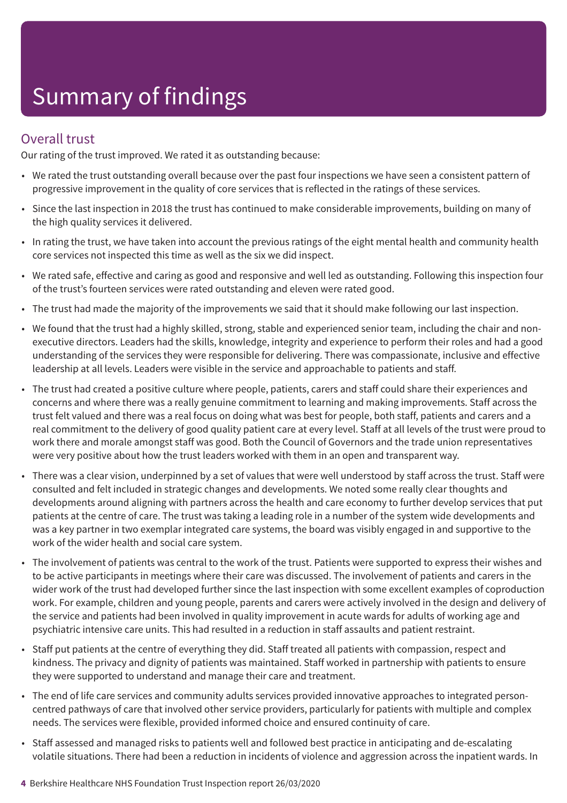### Overall trust

Our rating of the trust improved. We rated it as outstanding because:

- We rated the trust outstanding overall because over the past four inspections we have seen a consistent pattern of progressive improvement in the quality of core services that is reflected in the ratings of these services.
- Since the last inspection in 2018 the trust has continued to make considerable improvements, building on many of the high quality services it delivered.
- In rating the trust, we have taken into account the previous ratings of the eight mental health and community health core services not inspected this time as well as the six we did inspect.
- We rated safe, effective and caring as good and responsive and well led as outstanding. Following this inspection four of the trust's fourteen services were rated outstanding and eleven were rated good.
- The trust had made the majority of the improvements we said that it should make following our last inspection.
- We found that the trust had a highly skilled, strong, stable and experienced senior team, including the chair and nonexecutive directors. Leaders had the skills, knowledge, integrity and experience to perform their roles and had a good understanding of the services they were responsible for delivering. There was compassionate, inclusive and effective leadership at all levels. Leaders were visible in the service and approachable to patients and staff.
- The trust had created a positive culture where people, patients, carers and staff could share their experiences and concerns and where there was a really genuine commitment to learning and making improvements. Staff across the trust felt valued and there was a real focus on doing what was best for people, both staff, patients and carers and a real commitment to the delivery of good quality patient care at every level. Staff at all levels of the trust were proud to work there and morale amongst staff was good. Both the Council of Governors and the trade union representatives were very positive about how the trust leaders worked with them in an open and transparent way.
- There was a clear vision, underpinned by a set of values that were well understood by staff across the trust. Staff were consulted and felt included in strategic changes and developments. We noted some really clear thoughts and developments around aligning with partners across the health and care economy to further develop services that put patients at the centre of care. The trust was taking a leading role in a number of the system wide developments and was a key partner in two exemplar integrated care systems, the board was visibly engaged in and supportive to the work of the wider health and social care system.
- The involvement of patients was central to the work of the trust. Patients were supported to express their wishes and to be active participants in meetings where their care was discussed. The involvement of patients and carers in the wider work of the trust had developed further since the last inspection with some excellent examples of coproduction work. For example, children and young people, parents and carers were actively involved in the design and delivery of the service and patients had been involved in quality improvement in acute wards for adults of working age and psychiatric intensive care units. This had resulted in a reduction in staff assaults and patient restraint.
- Staff put patients at the centre of everything they did. Staff treated all patients with compassion, respect and kindness. The privacy and dignity of patients was maintained. Staff worked in partnership with patients to ensure they were supported to understand and manage their care and treatment.
- The end of life care services and community adults services provided innovative approaches to integrated personcentred pathways of care that involved other service providers, particularly for patients with multiple and complex needs. The services were flexible, provided informed choice and ensured continuity of care.
- Staff assessed and managed risks to patients well and followed best practice in anticipating and de-escalating volatile situations. There had been a reduction in incidents of violence and aggression across the inpatient wards. In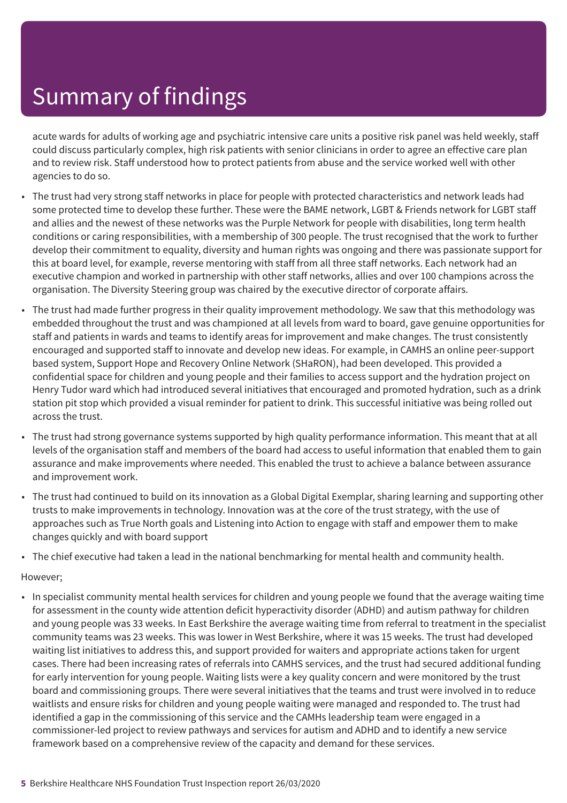acute wards for adults of working age and psychiatric intensive care units a positive risk panel was held weekly, staff could discuss particularly complex, high risk patients with senior clinicians in order to agree an effective care plan and to review risk. Staff understood how to protect patients from abuse and the service worked well with other agencies to do so.

- The trust had very strong staff networks in place for people with protected characteristics and network leads had some protected time to develop these further. These were the BAME network, LGBT & Friends network for LGBT staff and allies and the newest of these networks was the Purple Network for people with disabilities, long term health conditions or caring responsibilities, with a membership of 300 people. The trust recognised that the work to further develop their commitment to equality, diversity and human rights was ongoing and there was passionate support for this at board level, for example, reverse mentoring with staff from all three staff networks. Each network had an executive champion and worked in partnership with other staff networks, allies and over 100 champions across the organisation. The Diversity Steering group was chaired by the executive director of corporate affairs.
- The trust had made further progress in their quality improvement methodology. We saw that this methodology was embedded throughout the trust and was championed at all levels from ward to board, gave genuine opportunities for staff and patients in wards and teams to identify areas for improvement and make changes. The trust consistently encouraged and supported staff to innovate and develop new ideas. For example, in CAMHS an online peer-support based system, Support Hope and Recovery Online Network (SHaRON), had been developed. This provided a confidential space for children and young people and their families to access support and the hydration project on Henry Tudor ward which had introduced several initiatives that encouraged and promoted hydration, such as a drink station pit stop which provided a visual reminder for patient to drink. This successful initiative was being rolled out across the trust.
- The trust had strong governance systems supported by high quality performance information. This meant that at all levels of the organisation staff and members of the board had access to useful information that enabled them to gain assurance and make improvements where needed. This enabled the trust to achieve a balance between assurance and improvement work.
- The trust had continued to build on its innovation as a Global Digital Exemplar, sharing learning and supporting other trusts to make improvements in technology. Innovation was at the core of the trust strategy, with the use of approaches such as True North goals and Listening into Action to engage with staff and empower them to make changes quickly and with board support
- The chief executive had taken a lead in the national benchmarking for mental health and community health.

#### However;

• In specialist community mental health services for children and young people we found that the average waiting time for assessment in the county wide attention deficit hyperactivity disorder (ADHD) and autism pathway for children and young people was 33 weeks. In East Berkshire the average waiting time from referral to treatment in the specialist community teams was 23 weeks. This was lower in West Berkshire, where it was 15 weeks. The trust had developed waiting list initiatives to address this, and support provided for waiters and appropriate actions taken for urgent cases. There had been increasing rates of referrals into CAMHS services, and the trust had secured additional funding for early intervention for young people. Waiting lists were a key quality concern and were monitored by the trust board and commissioning groups. There were several initiatives that the teams and trust were involved in to reduce waitlists and ensure risks for children and young people waiting were managed and responded to. The trust had identified a gap in the commissioning of this service and the CAMHs leadership team were engaged in a commissioner-led project to review pathways and services for autism and ADHD and to identify a new service framework based on a comprehensive review of the capacity and demand for these services.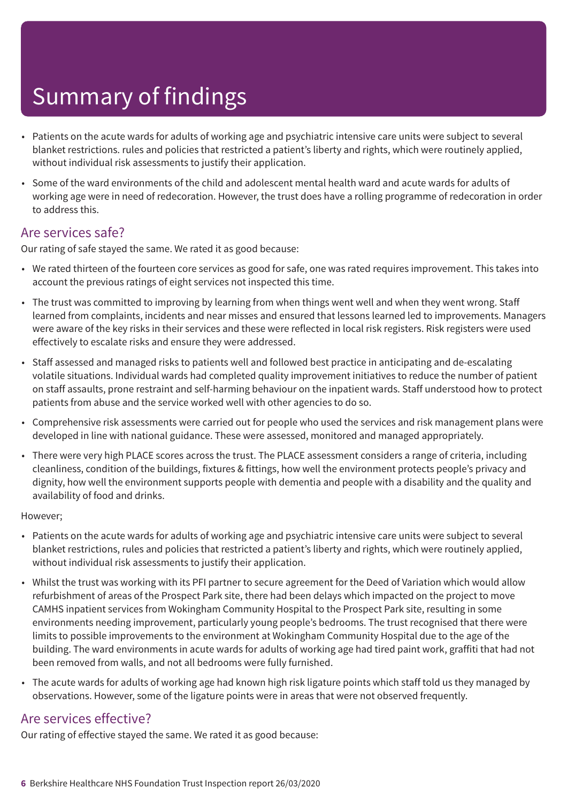- Patients on the acute wards for adults of working age and psychiatric intensive care units were subject to several blanket restrictions. rules and policies that restricted a patient's liberty and rights, which were routinely applied, without individual risk assessments to justify their application.
- Some of the ward environments of the child and adolescent mental health ward and acute wards for adults of working age were in need of redecoration. However, the trust does have a rolling programme of redecoration in order to address this.

### Are services safe?

Our rating of safe stayed the same. We rated it as good because:

- We rated thirteen of the fourteen core services as good for safe, one was rated requires improvement. This takes into account the previous ratings of eight services not inspected this time.
- The trust was committed to improving by learning from when things went well and when they went wrong. Staff learned from complaints, incidents and near misses and ensured that lessons learned led to improvements. Managers were aware of the key risks in their services and these were reflected in local risk registers. Risk registers were used effectively to escalate risks and ensure they were addressed.
- Staff assessed and managed risks to patients well and followed best practice in anticipating and de-escalating volatile situations. Individual wards had completed quality improvement initiatives to reduce the number of patient on staff assaults, prone restraint and self-harming behaviour on the inpatient wards. Staff understood how to protect patients from abuse and the service worked well with other agencies to do so.
- Comprehensive risk assessments were carried out for people who used the services and risk management plans were developed in line with national guidance. These were assessed, monitored and managed appropriately.
- There were very high PLACE scores across the trust. The PLACE assessment considers a range of criteria, including cleanliness, condition of the buildings, fixtures & fittings, how well the environment protects people's privacy and dignity, how well the environment supports people with dementia and people with a disability and the quality and availability of food and drinks.

#### However;

- Patients on the acute wards for adults of working age and psychiatric intensive care units were subject to several blanket restrictions, rules and policies that restricted a patient's liberty and rights, which were routinely applied, without individual risk assessments to justify their application.
- Whilst the trust was working with its PFI partner to secure agreement for the Deed of Variation which would allow refurbishment of areas of the Prospect Park site, there had been delays which impacted on the project to move CAMHS inpatient services from Wokingham Community Hospital to the Prospect Park site, resulting in some environments needing improvement, particularly young people's bedrooms. The trust recognised that there were limits to possible improvements to the environment at Wokingham Community Hospital due to the age of the building. The ward environments in acute wards for adults of working age had tired paint work, graffiti that had not been removed from walls, and not all bedrooms were fully furnished.
- The acute wards for adults of working age had known high risk ligature points which staff told us they managed by observations. However, some of the ligature points were in areas that were not observed frequently.

### Are services effective?

Our rating of effective stayed the same. We rated it as good because: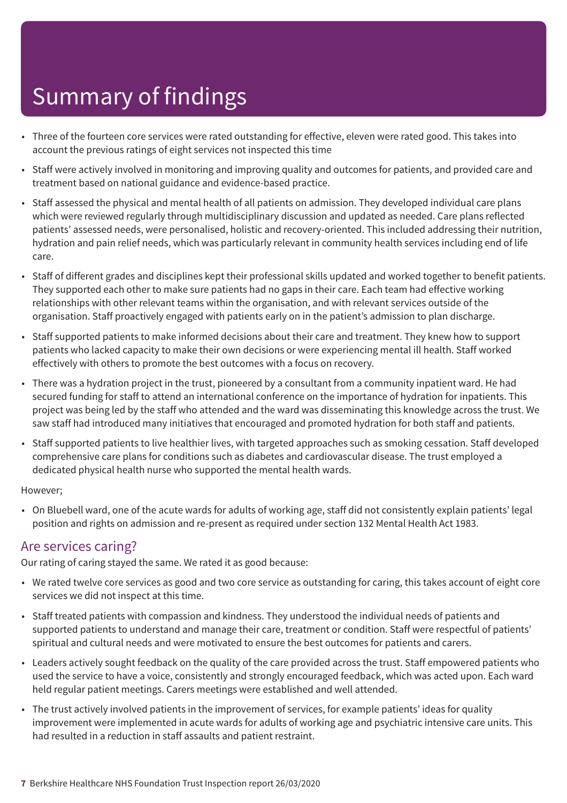- Three of the fourteen core services were rated outstanding for effective, eleven were rated good. This takes into account the previous ratings of eight services not inspected this time
- Staff were actively involved in monitoring and improving quality and outcomes for patients, and provided care and treatment based on national guidance and evidence-based practice.
- Staff assessed the physical and mental health of all patients on admission. They developed individual care plans which were reviewed regularly through multidisciplinary discussion and updated as needed. Care plans reflected patients' assessed needs, were personalised, holistic and recovery-oriented. This included addressing their nutrition, hydration and pain relief needs, which was particularly relevant in community health services including end of life care.
- Staff of different grades and disciplines kept their professional skills updated and worked together to benefit patients. They supported each other to make sure patients had no gaps in their care. Each team had effective working relationships with other relevant teams within the organisation, and with relevant services outside of the organisation. Staff proactively engaged with patients early on in the patient's admission to plan discharge.
- Staff supported patients to make informed decisions about their care and treatment. They knew how to support patients who lacked capacity to make their own decisions or were experiencing mental ill health. Staff worked effectively with others to promote the best outcomes with a focus on recovery.
- There was a hydration project in the trust, pioneered by a consultant from a community inpatient ward. He had secured funding for staff to attend an international conference on the importance of hydration for inpatients. This project was being led by the staff who attended and the ward was disseminating this knowledge across the trust. We saw staff had introduced many initiatives that encouraged and promoted hydration for both staff and patients.
- Staff supported patients to live healthier lives, with targeted approaches such as smoking cessation. Staff developed comprehensive care plans for conditions such as diabetes and cardiovascular disease. The trust employed a dedicated physical health nurse who supported the mental health wards.

#### However;

• On Bluebell ward, one of the acute wards for adults of working age, staff did not consistently explain patients' legal position and rights on admission and re-present as required under section 132 Mental Health Act 1983.

### Are services caring?

Our rating of caring stayed the same. We rated it as good because:

- We rated twelve core services as good and two core service as outstanding for caring, this takes account of eight core services we did not inspect at this time.
- Staff treated patients with compassion and kindness. They understood the individual needs of patients and supported patients to understand and manage their care, treatment or condition. Staff were respectful of patients' spiritual and cultural needs and were motivated to ensure the best outcomes for patients and carers.
- Leaders actively sought feedback on the quality of the care provided across the trust. Staff empowered patients who used the service to have a voice, consistently and strongly encouraged feedback, which was acted upon. Each ward held regular patient meetings. Carers meetings were established and well attended.
- The trust actively involved patients in the improvement of services, for example patients' ideas for quality improvement were implemented in acute wards for adults of working age and psychiatric intensive care units. This had resulted in a reduction in staff assaults and patient restraint.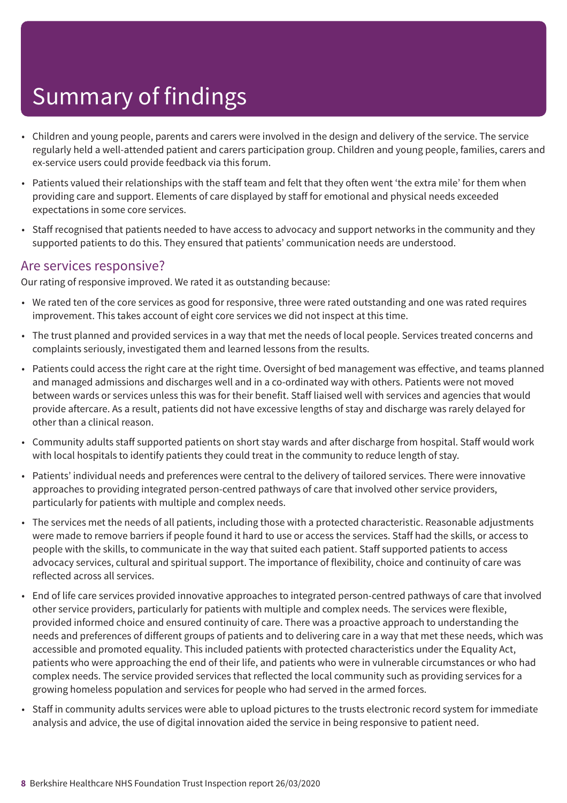- Children and young people, parents and carers were involved in the design and delivery of the service. The service regularly held a well-attended patient and carers participation group. Children and young people, families, carers and ex-service users could provide feedback via this forum.
- Patients valued their relationships with the staff team and felt that they often went 'the extra mile' for them when providing care and support. Elements of care displayed by staff for emotional and physical needs exceeded expectations in some core services.
- Staff recognised that patients needed to have access to advocacy and support networks in the community and they supported patients to do this. They ensured that patients' communication needs are understood.

#### Are services responsive?

Our rating of responsive improved. We rated it as outstanding because:

- We rated ten of the core services as good for responsive, three were rated outstanding and one was rated requires improvement. This takes account of eight core services we did not inspect at this time.
- The trust planned and provided services in a way that met the needs of local people. Services treated concerns and complaints seriously, investigated them and learned lessons from the results.
- Patients could access the right care at the right time. Oversight of bed management was effective, and teams planned and managed admissions and discharges well and in a co-ordinated way with others. Patients were not moved between wards or services unless this was for their benefit. Staff liaised well with services and agencies that would provide aftercare. As a result, patients did not have excessive lengths of stay and discharge was rarely delayed for other than a clinical reason.
- Community adults staff supported patients on short stay wards and after discharge from hospital. Staff would work with local hospitals to identify patients they could treat in the community to reduce length of stay.
- Patients' individual needs and preferences were central to the delivery of tailored services. There were innovative approaches to providing integrated person-centred pathways of care that involved other service providers, particularly for patients with multiple and complex needs.
- The services met the needs of all patients, including those with a protected characteristic. Reasonable adjustments were made to remove barriers if people found it hard to use or access the services. Staff had the skills, or access to people with the skills, to communicate in the way that suited each patient. Staff supported patients to access advocacy services, cultural and spiritual support. The importance of flexibility, choice and continuity of care was reflected across all services.
- End of life care services provided innovative approaches to integrated person-centred pathways of care that involved other service providers, particularly for patients with multiple and complex needs. The services were flexible, provided informed choice and ensured continuity of care. There was a proactive approach to understanding the needs and preferences of different groups of patients and to delivering care in a way that met these needs, which was accessible and promoted equality. This included patients with protected characteristics under the Equality Act, patients who were approaching the end of their life, and patients who were in vulnerable circumstances or who had complex needs. The service provided services that reflected the local community such as providing services for a growing homeless population and services for people who had served in the armed forces.
- Staff in community adults services were able to upload pictures to the trusts electronic record system for immediate analysis and advice, the use of digital innovation aided the service in being responsive to patient need.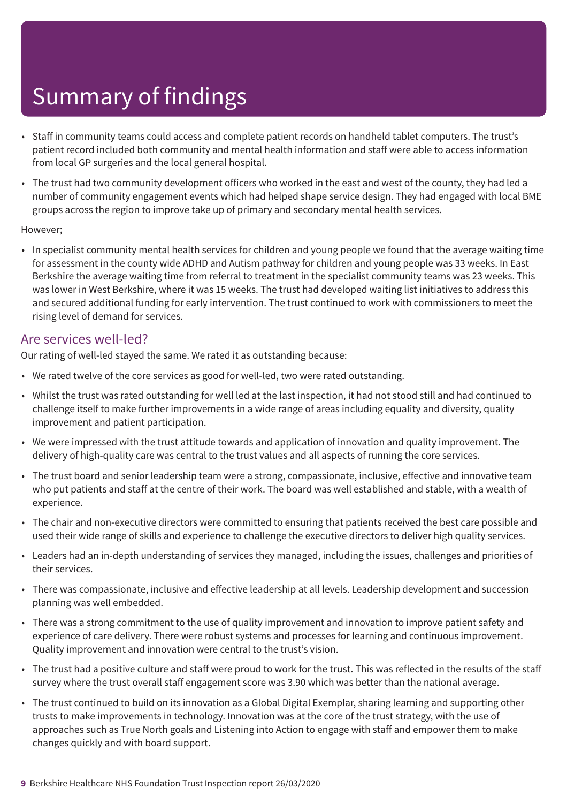- Staff in community teams could access and complete patient records on handheld tablet computers. The trust's patient record included both community and mental health information and staff were able to access information from local GP surgeries and the local general hospital.
- The trust had two community development officers who worked in the east and west of the county, they had led a number of community engagement events which had helped shape service design. They had engaged with local BME groups across the region to improve take up of primary and secondary mental health services.

#### However;

• In specialist community mental health services for children and young people we found that the average waiting time for assessment in the county wide ADHD and Autism pathway for children and young people was 33 weeks. In East Berkshire the average waiting time from referral to treatment in the specialist community teams was 23 weeks. This was lower in West Berkshire, where it was 15 weeks. The trust had developed waiting list initiatives to address this and secured additional funding for early intervention. The trust continued to work with commissioners to meet the rising level of demand for services.

### Are services well-led?

Our rating of well-led stayed the same. We rated it as outstanding because:

- We rated twelve of the core services as good for well-led, two were rated outstanding.
- Whilst the trust was rated outstanding for well led at the last inspection, it had not stood still and had continued to challenge itself to make further improvements in a wide range of areas including equality and diversity, quality improvement and patient participation.
- We were impressed with the trust attitude towards and application of innovation and quality improvement. The delivery of high-quality care was central to the trust values and all aspects of running the core services.
- The trust board and senior leadership team were a strong, compassionate, inclusive, effective and innovative team who put patients and staff at the centre of their work. The board was well established and stable, with a wealth of experience.
- The chair and non-executive directors were committed to ensuring that patients received the best care possible and used their wide range of skills and experience to challenge the executive directors to deliver high quality services.
- Leaders had an in-depth understanding of services they managed, including the issues, challenges and priorities of their services.
- There was compassionate, inclusive and effective leadership at all levels. Leadership development and succession planning was well embedded.
- There was a strong commitment to the use of quality improvement and innovation to improve patient safety and experience of care delivery. There were robust systems and processes for learning and continuous improvement. Quality improvement and innovation were central to the trust's vision.
- The trust had a positive culture and staff were proud to work for the trust. This was reflected in the results of the staff survey where the trust overall staff engagement score was 3.90 which was better than the national average.
- The trust continued to build on its innovation as a Global Digital Exemplar, sharing learning and supporting other trusts to make improvements in technology. Innovation was at the core of the trust strategy, with the use of approaches such as True North goals and Listening into Action to engage with staff and empower them to make changes quickly and with board support.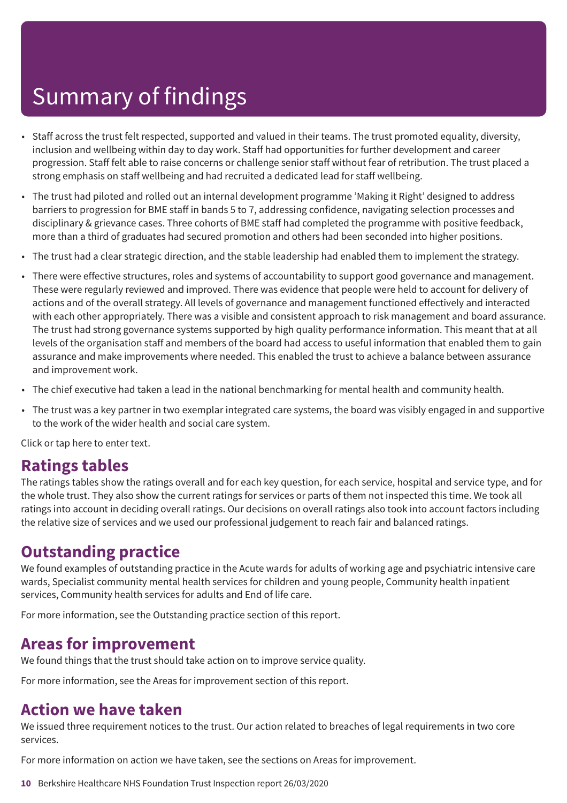- Staff across the trust felt respected, supported and valued in their teams. The trust promoted equality, diversity, inclusion and wellbeing within day to day work. Staff had opportunities for further development and career progression. Staff felt able to raise concerns or challenge senior staff without fear of retribution. The trust placed a strong emphasis on staff wellbeing and had recruited a dedicated lead for staff wellbeing.
- The trust had piloted and rolled out an internal development programme 'Making it Right' designed to address barriers to progression for BME staff in bands 5 to 7, addressing confidence, navigating selection processes and disciplinary & grievance cases. Three cohorts of BME staff had completed the programme with positive feedback, more than a third of graduates had secured promotion and others had been seconded into higher positions.
- The trust had a clear strategic direction, and the stable leadership had enabled them to implement the strategy.
- There were effective structures, roles and systems of accountability to support good governance and management. These were regularly reviewed and improved. There was evidence that people were held to account for delivery of actions and of the overall strategy. All levels of governance and management functioned effectively and interacted with each other appropriately. There was a visible and consistent approach to risk management and board assurance. The trust had strong governance systems supported by high quality performance information. This meant that at all levels of the organisation staff and members of the board had access to useful information that enabled them to gain assurance and make improvements where needed. This enabled the trust to achieve a balance between assurance and improvement work.
- The chief executive had taken a lead in the national benchmarking for mental health and community health.
- The trust was a key partner in two exemplar integrated care systems, the board was visibly engaged in and supportive to the work of the wider health and social care system.

Click or tap here to enter text.

### **Ratings tables**

The ratings tables show the ratings overall and for each key question, for each service, hospital and service type, and for the whole trust. They also show the current ratings for services or parts of them not inspected this time. We took all ratings into account in deciding overall ratings. Our decisions on overall ratings also took into account factors including the relative size of services and we used our professional judgement to reach fair and balanced ratings.

### **Outstanding practice**

We found examples of outstanding practice in the Acute wards for adults of working age and psychiatric intensive care wards, Specialist community mental health services for children and young people, Community health inpatient services, Community health services for adults and End of life care.

For more information, see the Outstanding practice section of this report.

### **Areas for improvement**

We found things that the trust should take action on to improve service quality.

For more information, see the Areas for improvement section of this report.

### **Action we have taken**

We issued three requirement notices to the trust. Our action related to breaches of legal requirements in two core services.

For more information on action we have taken, see the sections on Areas for improvement.

**10** Berkshire Healthcare NHS Foundation Trust Inspection report 26/03/2020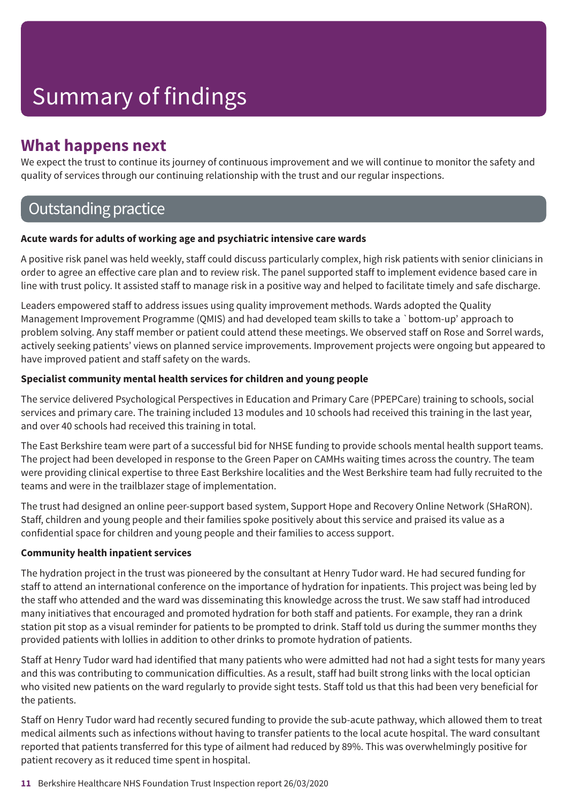### **What happens next**

We expect the trust to continue its journey of continuous improvement and we will continue to monitor the safety and quality of services through our continuing relationship with the trust and our regular inspections.

### **Outstanding practice**

#### **Acute wards for adults of working age and psychiatric intensive care wards**

A positive risk panel was held weekly, staff could discuss particularly complex, high risk patients with senior clinicians in order to agree an effective care plan and to review risk. The panel supported staff to implement evidence based care in line with trust policy. It assisted staff to manage risk in a positive way and helped to facilitate timely and safe discharge.

Leaders empowered staff to address issues using quality improvement methods. Wards adopted the Quality Management Improvement Programme (QMIS) and had developed team skills to take a `bottom-up' approach to problem solving. Any staff member or patient could attend these meetings. We observed staff on Rose and Sorrel wards, actively seeking patients' views on planned service improvements. Improvement projects were ongoing but appeared to have improved patient and staff safety on the wards.

#### **Specialist community mental health services for children and young people**

The service delivered Psychological Perspectives in Education and Primary Care (PPEPCare) training to schools, social services and primary care. The training included 13 modules and 10 schools had received this training in the last year, and over 40 schools had received this training in total.

The East Berkshire team were part of a successful bid for NHSE funding to provide schools mental health support teams. The project had been developed in response to the Green Paper on CAMHs waiting times across the country. The team were providing clinical expertise to three East Berkshire localities and the West Berkshire team had fully recruited to the teams and were in the trailblazer stage of implementation.

The trust had designed an online peer-support based system, Support Hope and Recovery Online Network (SHaRON). Staff, children and young people and their families spoke positively about this service and praised its value as a confidential space for children and young people and their families to access support.

#### **Community health inpatient services**

The hydration project in the trust was pioneered by the consultant at Henry Tudor ward. He had secured funding for staff to attend an international conference on the importance of hydration for inpatients. This project was being led by the staff who attended and the ward was disseminating this knowledge across the trust. We saw staff had introduced many initiatives that encouraged and promoted hydration for both staff and patients. For example, they ran a drink station pit stop as a visual reminder for patients to be prompted to drink. Staff told us during the summer months they provided patients with lollies in addition to other drinks to promote hydration of patients.

Staff at Henry Tudor ward had identified that many patients who were admitted had not had a sight tests for many years and this was contributing to communication difficulties. As a result, staff had built strong links with the local optician who visited new patients on the ward regularly to provide sight tests. Staff told us that this had been very beneficial for the patients.

Staff on Henry Tudor ward had recently secured funding to provide the sub-acute pathway, which allowed them to treat medical ailments such as infections without having to transfer patients to the local acute hospital. The ward consultant reported that patients transferred for this type of ailment had reduced by 89%. This was overwhelmingly positive for patient recovery as it reduced time spent in hospital.

#### **11** Berkshire Healthcare NHS Foundation Trust Inspection report 26/03/2020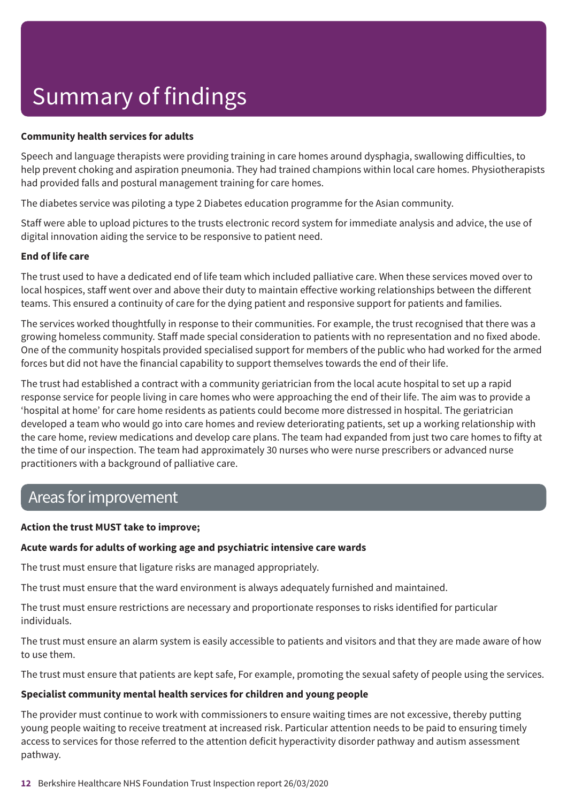#### **Community health services for adults**

Speech and language therapists were providing training in care homes around dysphagia, swallowing difficulties, to help prevent choking and aspiration pneumonia. They had trained champions within local care homes. Physiotherapists had provided falls and postural management training for care homes.

The diabetes service was piloting a type 2 Diabetes education programme for the Asian community.

Staff were able to upload pictures to the trusts electronic record system for immediate analysis and advice, the use of digital innovation aiding the service to be responsive to patient need.

#### **End of life care**

The trust used to have a dedicated end of life team which included palliative care. When these services moved over to local hospices, staff went over and above their duty to maintain effective working relationships between the different teams. This ensured a continuity of care for the dying patient and responsive support for patients and families.

The services worked thoughtfully in response to their communities. For example, the trust recognised that there was a growing homeless community. Staff made special consideration to patients with no representation and no fixed abode. One of the community hospitals provided specialised support for members of the public who had worked for the armed forces but did not have the financial capability to support themselves towards the end of their life.

The trust had established a contract with a community geriatrician from the local acute hospital to set up a rapid response service for people living in care homes who were approaching the end of their life. The aim was to provide a 'hospital at home' for care home residents as patients could become more distressed in hospital. The geriatrician developed a team who would go into care homes and review deteriorating patients, set up a working relationship with the care home, review medications and develop care plans. The team had expanded from just two care homes to fifty at the time of our inspection. The team had approximately 30 nurses who were nurse prescribers or advanced nurse practitioners with a background of palliative care.

### Areas forimprovement

#### **Action the trust MUST take to improve;**

#### **Acute wards for adults of working age and psychiatric intensive care wards**

The trust must ensure that ligature risks are managed appropriately.

The trust must ensure that the ward environment is always adequately furnished and maintained.

The trust must ensure restrictions are necessary and proportionate responses to risks identified for particular individuals.

The trust must ensure an alarm system is easily accessible to patients and visitors and that they are made aware of how to use them.

The trust must ensure that patients are kept safe, For example, promoting the sexual safety of people using the services.

#### **Specialist community mental health services for children and young people**

The provider must continue to work with commissioners to ensure waiting times are not excessive, thereby putting young people waiting to receive treatment at increased risk. Particular attention needs to be paid to ensuring timely access to services for those referred to the attention deficit hyperactivity disorder pathway and autism assessment pathway.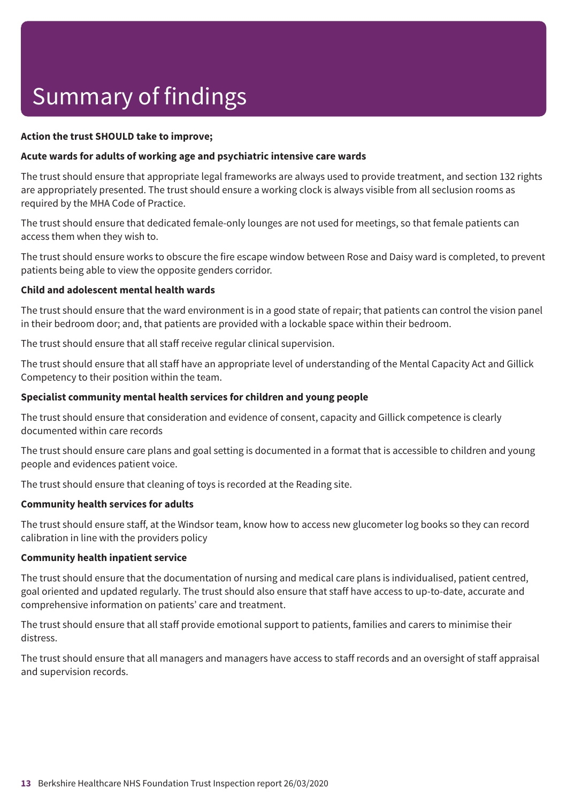#### **Action the trust SHOULD take to improve;**

#### **Acute wards for adults of working age and psychiatric intensive care wards**

The trust should ensure that appropriate legal frameworks are always used to provide treatment, and section 132 rights are appropriately presented. The trust should ensure a working clock is always visible from all seclusion rooms as required by the MHA Code of Practice.

The trust should ensure that dedicated female-only lounges are not used for meetings, so that female patients can access them when they wish to.

The trust should ensure works to obscure the fire escape window between Rose and Daisy ward is completed, to prevent patients being able to view the opposite genders corridor.

#### **Child and adolescent mental health wards**

The trust should ensure that the ward environment is in a good state of repair; that patients can control the vision panel in their bedroom door; and, that patients are provided with a lockable space within their bedroom.

The trust should ensure that all staff receive regular clinical supervision.

The trust should ensure that all staff have an appropriate level of understanding of the Mental Capacity Act and Gillick Competency to their position within the team.

#### **Specialist community mental health services for children and young people**

The trust should ensure that consideration and evidence of consent, capacity and Gillick competence is clearly documented within care records

The trust should ensure care plans and goal setting is documented in a format that is accessible to children and young people and evidences patient voice.

The trust should ensure that cleaning of toys is recorded at the Reading site.

#### **Community health services for adults**

The trust should ensure staff, at the Windsor team, know how to access new glucometer log books so they can record calibration in line with the providers policy

#### **Community health inpatient service**

The trust should ensure that the documentation of nursing and medical care plans is individualised, patient centred, goal oriented and updated regularly. The trust should also ensure that staff have access to up-to-date, accurate and comprehensive information on patients' care and treatment.

The trust should ensure that all staff provide emotional support to patients, families and carers to minimise their distress.

The trust should ensure that all managers and managers have access to staff records and an oversight of staff appraisal and supervision records.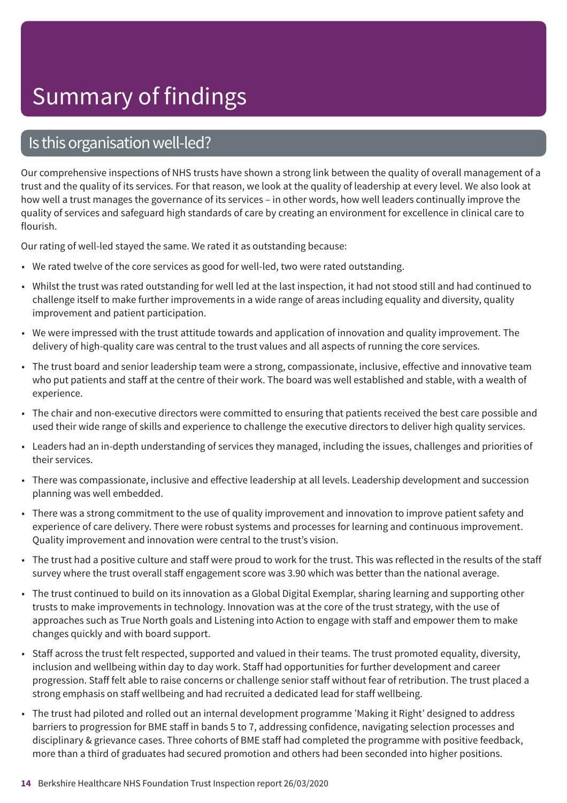### Is this organisation well-led?

Our comprehensive inspections of NHS trusts have shown a strong link between the quality of overall management of a trust and the quality of its services. For that reason, we look at the quality of leadership at every level. We also look at how well a trust manages the governance of its services – in other words, how well leaders continually improve the quality of services and safeguard high standards of care by creating an environment for excellence in clinical care to flourish.

Our rating of well-led stayed the same. We rated it as outstanding because:

- We rated twelve of the core services as good for well-led, two were rated outstanding.
- Whilst the trust was rated outstanding for well led at the last inspection, it had not stood still and had continued to challenge itself to make further improvements in a wide range of areas including equality and diversity, quality improvement and patient participation.
- We were impressed with the trust attitude towards and application of innovation and quality improvement. The delivery of high-quality care was central to the trust values and all aspects of running the core services.
- The trust board and senior leadership team were a strong, compassionate, inclusive, effective and innovative team who put patients and staff at the centre of their work. The board was well established and stable, with a wealth of experience.
- The chair and non-executive directors were committed to ensuring that patients received the best care possible and used their wide range of skills and experience to challenge the executive directors to deliver high quality services.
- Leaders had an in-depth understanding of services they managed, including the issues, challenges and priorities of their services.
- There was compassionate, inclusive and effective leadership at all levels. Leadership development and succession planning was well embedded.
- There was a strong commitment to the use of quality improvement and innovation to improve patient safety and experience of care delivery. There were robust systems and processes for learning and continuous improvement. Quality improvement and innovation were central to the trust's vision.
- The trust had a positive culture and staff were proud to work for the trust. This was reflected in the results of the staff survey where the trust overall staff engagement score was 3.90 which was better than the national average.
- The trust continued to build on its innovation as a Global Digital Exemplar, sharing learning and supporting other trusts to make improvements in technology. Innovation was at the core of the trust strategy, with the use of approaches such as True North goals and Listening into Action to engage with staff and empower them to make changes quickly and with board support.
- Staff across the trust felt respected, supported and valued in their teams. The trust promoted equality, diversity, inclusion and wellbeing within day to day work. Staff had opportunities for further development and career progression. Staff felt able to raise concerns or challenge senior staff without fear of retribution. The trust placed a strong emphasis on staff wellbeing and had recruited a dedicated lead for staff wellbeing.
- The trust had piloted and rolled out an internal development programme 'Making it Right' designed to address barriers to progression for BME staff in bands 5 to 7, addressing confidence, navigating selection processes and disciplinary & grievance cases. Three cohorts of BME staff had completed the programme with positive feedback, more than a third of graduates had secured promotion and others had been seconded into higher positions.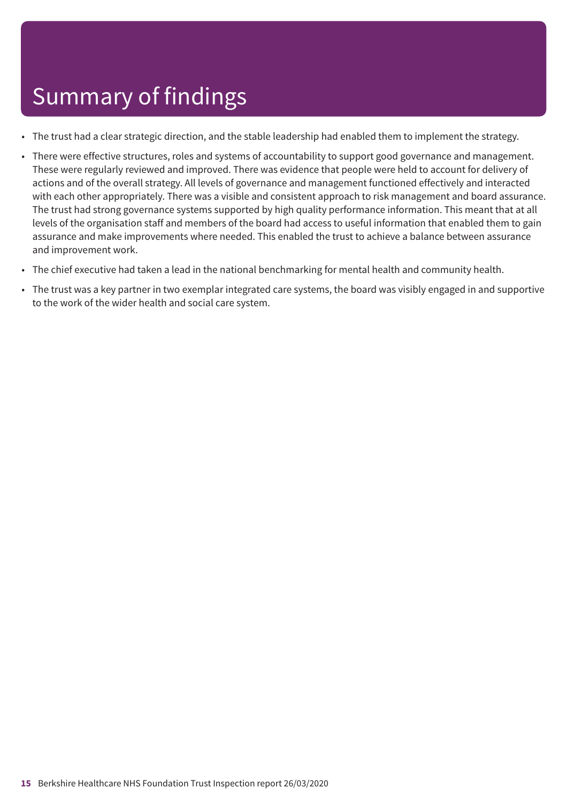- The trust had a clear strategic direction, and the stable leadership had enabled them to implement the strategy.
- There were effective structures, roles and systems of accountability to support good governance and management. These were regularly reviewed and improved. There was evidence that people were held to account for delivery of actions and of the overall strategy. All levels of governance and management functioned effectively and interacted with each other appropriately. There was a visible and consistent approach to risk management and board assurance. The trust had strong governance systems supported by high quality performance information. This meant that at all levels of the organisation staff and members of the board had access to useful information that enabled them to gain assurance and make improvements where needed. This enabled the trust to achieve a balance between assurance and improvement work.
- The chief executive had taken a lead in the national benchmarking for mental health and community health.
- The trust was a key partner in two exemplar integrated care systems, the board was visibly engaged in and supportive to the work of the wider health and social care system.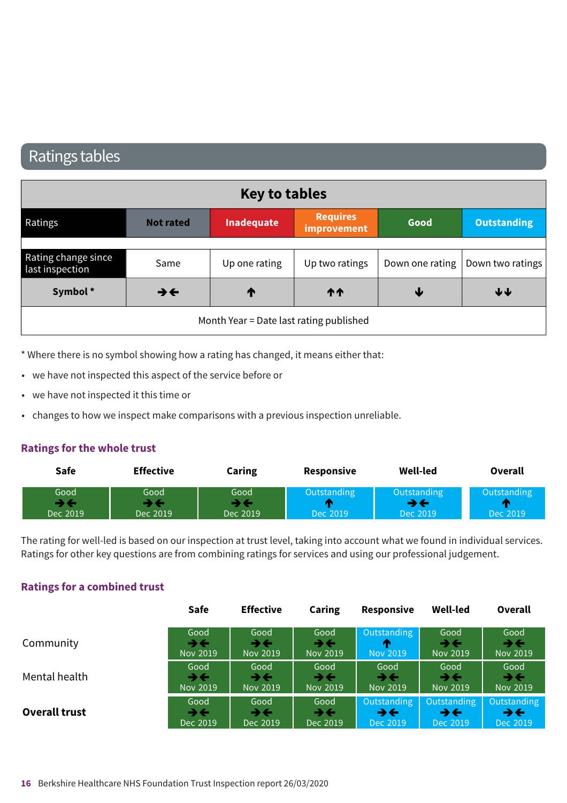### Ratings tables

| <b>Key to tables</b>                    |                          |                   |                                |      |                                    |
|-----------------------------------------|--------------------------|-------------------|--------------------------------|------|------------------------------------|
| Ratings                                 | <b>Not rated</b>         | <b>Inadequate</b> | <b>Requires</b><br>improvement | Good | <b>Outstanding</b>                 |
|                                         |                          |                   |                                |      |                                    |
| Rating change since<br>last inspection  | Same                     | Up one rating     | Up two ratings                 |      | Down one rating   Down two ratings |
| Symbol*                                 | $\rightarrow \leftarrow$ | T                 | <b>11</b>                      | v    | ↓↓                                 |
| Month Year = Date last rating published |                          |                   |                                |      |                                    |

\* Where there is no symbol showing how a rating has changed, it means either that:

- we have not inspected this aspect of the service before or
- we have not inspected it this time or
- changes to how we inspect make comparisons with a previous inspection unreliable.

#### **Ratings for the whole trust**

| Safe                                         |  | <b>Effective</b> | Caring           | $\sim$ $\sim$ $\sim$ $\sim$<br><b>Responsive</b> | <b>Well-led</b>       | Overall                  |
|----------------------------------------------|--|------------------|------------------|--------------------------------------------------|-----------------------|--------------------------|
| Good<br><b>STATISTICS</b><br>- 3<br>Dec 2019 |  | Good<br>Dec 2019 | Good<br>Dec 2019 | วนtsta<br>Dec 2019                               | Outstandi<br>Dec 2019 | . .<br>$\sim$<br>EL ZUIG |

The rating for well-led is based on our inspection at trust level, taking into account what we found in individual services. Ratings for other key questions are from combining ratings for services and using our professional judgement.

#### **Ratings for a combined trust**

|                      | Safe                     | <b>Effective</b>         | <b>Caring</b>              | <b>Responsive</b>          | <b>Well-led</b> | Overall                  |
|----------------------|--------------------------|--------------------------|----------------------------|----------------------------|-----------------|--------------------------|
| Community            | Good                     | Good                     | Good                       | Outstanding                | Good            | Good                     |
|                      | ⋺⋲                       | うそ                       | $\rightarrow$ $\leftarrow$ | ж                          | →←              | $\rightarrow \leftarrow$ |
|                      | Nov 2019                 | Nov 2019                 | Nov 2019                   | Nov 2019                   | Nov 2019        | Nov 2019                 |
| Mental health        | Good                     | Good                     | Good                       | Good                       | Good            | Good                     |
|                      | $\rightarrow \leftarrow$ | $\rightarrow \leftarrow$ | ⋺⋲                         | →←                         | →←              | $\rightarrow \leftarrow$ |
|                      | Nov 2019                 | Nov 2019                 | Nov 2019                   | Nov 2019                   | Nov 2019        | Nov 2019                 |
| <b>Overall trust</b> | Good                     | Good                     | Good                       | Outstanding                | Outstanding     | Outstanding              |
|                      | $\rightarrow \leftarrow$ | $\rightarrow \leftarrow$ | $\rightarrow \leftarrow$   | $\rightarrow$ $\leftarrow$ | →←              | $\rightarrow \leftarrow$ |
|                      | Dec 2019                 | Dec 2019                 | Dec 2019                   | Dec 2019                   | Dec 2019        | Dec 2019                 |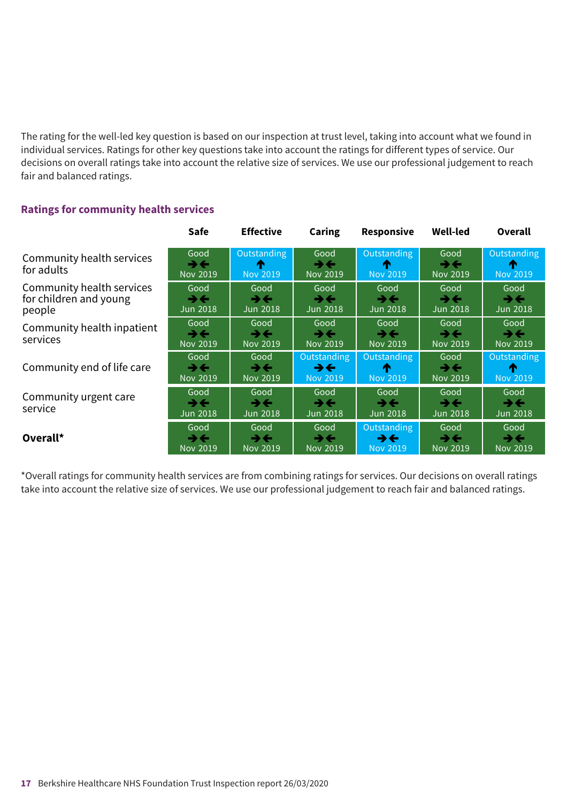The rating for the well-led key question is based on our inspection at trust level, taking into account what we found in individual services. Ratings for other key questions take into account the ratings for different types of service. Our decisions on overall ratings take into account the relative size of services. We use our professional judgement to reach fair and balanced ratings.

#### **Ratings for community health services**

|                                                               | <b>Safe</b>                   | <b>Effective</b>                             | <b>Caring</b>                                              | <b>Responsive</b>                          | <b>Well-led</b>                                     | Overall                                             |
|---------------------------------------------------------------|-------------------------------|----------------------------------------------|------------------------------------------------------------|--------------------------------------------|-----------------------------------------------------|-----------------------------------------------------|
| Community health services<br>for adults                       | Good<br>→←<br><b>Nov 2019</b> | Outstanding<br>m<br><b>Nov 2019</b>          | Good<br>$\rightarrow \leftarrow$<br>Nov 2019               | <b>Outstanding</b><br>æ<br><b>Nov 2019</b> | Good<br>$\rightarrow \leftarrow$<br><b>Nov 2019</b> | Outstanding<br>m<br><b>Nov 2019</b>                 |
| Community health services<br>for children and young<br>people | Good<br>→←<br><b>Jun 2018</b> | Good<br>→←<br>Jun 2018                       | Good<br>→←<br><b>Jun 2018</b>                              | Good<br>→←<br>Jun 2018                     | Good<br>うそ<br><b>Jun 2018</b>                       | Good<br>うそ<br><b>Jun 2018</b>                       |
| Community health inpatient<br>services                        | Good<br>→←<br>Nov 2019        | Good<br>→←<br><b>Nov 2019</b>                | Good<br>→←<br>Nov 2019                                     | Good<br>→←<br>Nov 2019                     | Good<br>⋺⋲<br><b>Nov 2019</b>                       | Good<br>$\rightarrow \leftarrow$<br>Nov 2019        |
| Community end of life care                                    | Good<br>→←<br>Nov 2019        | Good<br>→←<br><b>Nov 2019</b>                | Outstanding<br>$\rightarrow \leftarrow$<br><b>Nov 2019</b> | Outstanding<br>T<br><b>Nov 2019</b>        | Good<br>うそ<br>Nov 2019                              | Outstanding<br>m<br>Nov 2019                        |
| Community urgent care<br>service                              | Good<br>→←<br><b>Jun 2018</b> | Good<br>$\rightarrow \leftarrow$<br>Jun 2018 | Good<br>$\rightarrow \leftarrow$<br><b>Jun 2018</b>        | Good<br>→←<br>Jun 2018                     | Good<br>$\rightarrow \leftarrow$<br><b>Jun 2018</b> | Good<br>$\rightarrow \leftarrow$<br><b>Jun 2018</b> |
| Overall*                                                      | Good<br>→←<br>Nov 2019        | Good<br>→←<br><b>Nov 2019</b>                | Good<br>$\rightarrow \leftarrow$<br>Nov 2019               | Outstanding<br>→←<br><b>Nov 2019</b>       | Good<br>⋺⋲<br><b>Nov 2019</b>                       | Good<br>$\rightarrow$ $\leftarrow$<br>Nov 2019      |

\*Overall ratings for community health services are from combining ratings for services. Our decisions on overall ratings take into account the relative size of services. We use our professional judgement to reach fair and balanced ratings.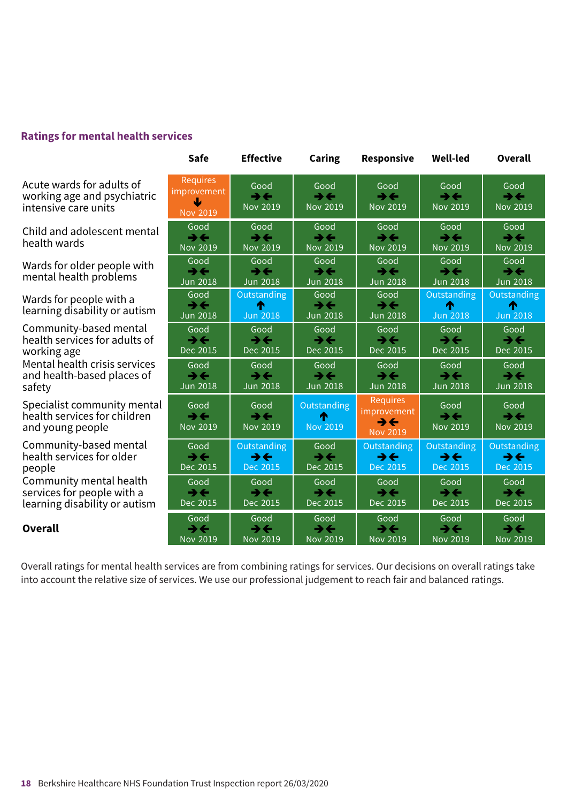#### **Ratings for mental health services**

Acute wards for adults of working age and psychiatric intensive care units

Child and adolescent mental health wards same-r–––ating same-r–––ating same-r–––ating same-r–––ating same-r–––ating same-r–––ating

Wards for older people with mental health problems same-ru<br>d leter om

Wards for people with a learning disability or autism same-rupone-<br>Ioarning

Community-based mental health services for adults of working age same-relating s

Mental health crisis services and health-based places of safety and heal

> Specialist community mental health services for children and young people

Community-based mental health services for older people same-releating sa

Community mental health services for people with a learning disability or autism services

**Overall** Overall

|   | <b>Requires</b><br>improvement<br>تانا<br><b>Nov 2019</b> | Good<br>$\rightarrow \leftarrow$<br><b>Nov 2019</b> | Good<br>$\rightarrow \leftarrow$<br><b>Nov 2019</b> | Good<br>$\rightarrow \leftarrow$<br><b>Nov 2019</b>     | Good<br>$\rightarrow \leftarrow$<br><b>Nov 2019</b> | Good<br>$\rightarrow \leftarrow$<br>Nov 2019        |
|---|-----------------------------------------------------------|-----------------------------------------------------|-----------------------------------------------------|---------------------------------------------------------|-----------------------------------------------------|-----------------------------------------------------|
|   | Good                                                      | Good                                                | Good                                                | Good                                                    | Good                                                | Good                                                |
|   | $\rightarrow \leftarrow$                                  | →←                                                  | $\rightarrow \leftarrow$                            | $\rightarrow \leftarrow$                                | →←                                                  | →←                                                  |
|   | <b>Nov 2019</b>                                           | <b>Nov 2019</b>                                     | <b>Nov 2019</b>                                     | <b>Nov 2019</b>                                         | <b>Nov 2019</b>                                     | <b>Nov 2019</b>                                     |
|   | Good                                                      | Good                                                | Good                                                | Good                                                    | Good                                                | Good                                                |
|   | →←                                                        | →←                                                  | →←                                                  | →←                                                      | →←                                                  | $\rightarrow \leftarrow$                            |
|   | <b>Jun 2018</b>                                           | <b>Jun 2018</b>                                     | <b>Jun 2018</b>                                     | <b>Jun 2018</b>                                         | <b>Jun 2018</b>                                     | <b>Jun 2018</b>                                     |
|   | Good                                                      | Outstanding                                         | Good                                                | Good                                                    | Outstanding                                         | Outstanding                                         |
|   | $\rightarrow \leftarrow$                                  | ♠                                                   | $\rightarrow \leftarrow$                            | $\rightarrow \leftarrow$                                | ♠                                                   | ́∩                                                  |
|   | <b>Jun 2018</b>                                           | <b>Jun 2018</b>                                     | <b>Jun 2018</b>                                     | <b>Jun 2018</b>                                         | <b>Jun 2018</b>                                     | <b>Jun 2018</b>                                     |
|   | Good                                                      | Good                                                | Good                                                | Good                                                    | Good                                                | Good                                                |
|   | $\rightarrow \leftarrow$                                  | $\rightarrow \leftarrow$                            | $\rightarrow \leftarrow$                            | $\rightarrow \leftarrow$                                | $\rightarrow \leftarrow$                            | $\rightarrow$ $\leftarrow$                          |
|   | Dec 2015                                                  | Dec 2015                                            | Dec 2015                                            | Dec 2015                                                | Dec 2015                                            | Dec 2015                                            |
|   | Good                                                      | Good                                                | Good                                                | Good                                                    | Good                                                | Good                                                |
|   | $\rightarrow \leftarrow$                                  | →←                                                  | $\rightarrow \leftarrow$                            | →←                                                      | $\rightarrow \leftarrow$                            | $\rightarrow \leftarrow$                            |
|   | <b>Jun 2018</b>                                           | <b>Jun 2018</b>                                     | <b>Jun 2018</b>                                     | <b>Jun 2018</b>                                         | <b>Jun 2018</b>                                     | <b>Jun 2018</b>                                     |
| l | Good<br>$\rightarrow \leftarrow$<br><b>Nov 2019</b>       | Good<br>$\rightarrow \leftarrow$<br><b>Nov 2019</b> | Outstanding<br>⋔<br><b>Nov 2019</b>                 | <b>Requires</b><br>improvement<br>→←<br><b>Nov 2019</b> | Good<br>$\rightarrow \leftarrow$<br><b>Nov 2019</b> | Good<br>$\rightarrow \leftarrow$<br><b>Nov 2019</b> |
|   | Good                                                      | Outstanding                                         | Good                                                | Outstanding                                             | Outstanding                                         | Outstanding                                         |
|   | $\rightarrow \leftarrow$                                  | →←                                                  | $\rightarrow \leftarrow$                            | →←                                                      | $\rightarrow \leftarrow$                            | →←                                                  |
|   | Dec 2015                                                  | Dec 2015                                            | Dec 2015                                            | Dec 2015                                                | Dec 2015                                            | Dec 2015                                            |
|   | Good                                                      | Good                                                | Good                                                | Good                                                    | Good                                                | Good                                                |
|   | →←                                                        | →←                                                  | →←                                                  | $\rightarrow$                                           | $\rightarrow \leftarrow$                            | →←                                                  |
|   | Dec 2015                                                  | Dec 2015                                            | Dec 2015                                            | Dec 2015                                                | Dec 2015                                            | Dec 2015                                            |
|   | Good                                                      | Good                                                | Good                                                | Good                                                    | Good                                                | Good                                                |
|   | →←                                                        | →←                                                  | →←                                                  | →←                                                      | $\rightarrow \leftarrow$                            | →←                                                  |
|   | <b>Nov 2019</b>                                           | <b>Nov 2019</b>                                     | <b>Nov 2019</b>                                     | <b>Nov 2019</b>                                         | <b>Nov 2019</b>                                     | <b>Nov 2019</b>                                     |

**Safe Effective Caring Responsive Well-led Overall**

Overall ratings for mental health services are from combining ratings for services. Our decisions on overall ratings take into account the relative size of services. We use our professional judgement to reach fair and balanced ratings.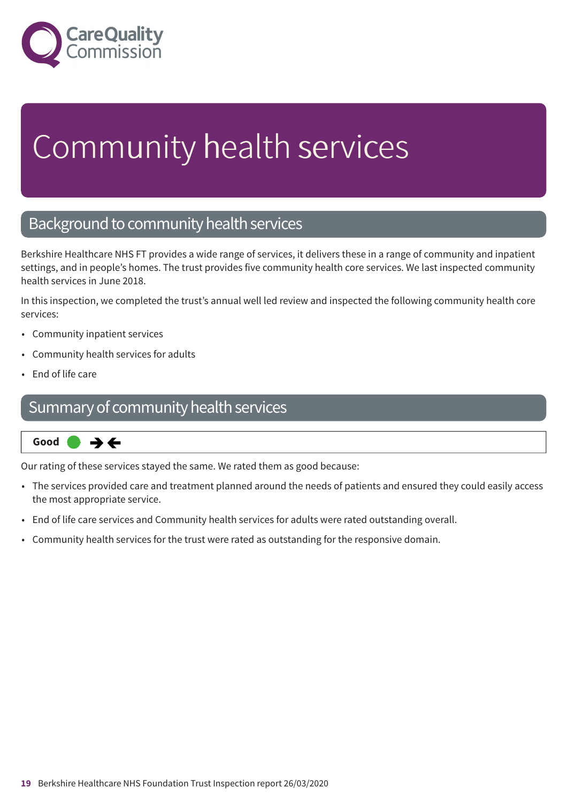

# Community health services

### Background to community health services

Berkshire Healthcare NHS FT provides a wide range of services, it delivers these in a range of community and inpatient settings, and in people's homes. The trust provides five community health core services. We last inspected community health services in June 2018.

In this inspection, we completed the trust's annual well led review and inspected the following community health core services:

- Community inpatient services
- Community health services for adults
- End of life care

### Summary of community health services



Our rating of these services stayed the same. We rated them as good because:

- The services provided care and treatment planned around the needs of patients and ensured they could easily access the most appropriate service.
- End of life care services and Community health services for adults were rated outstanding overall.
- Community health services for the trust were rated as outstanding for the responsive domain.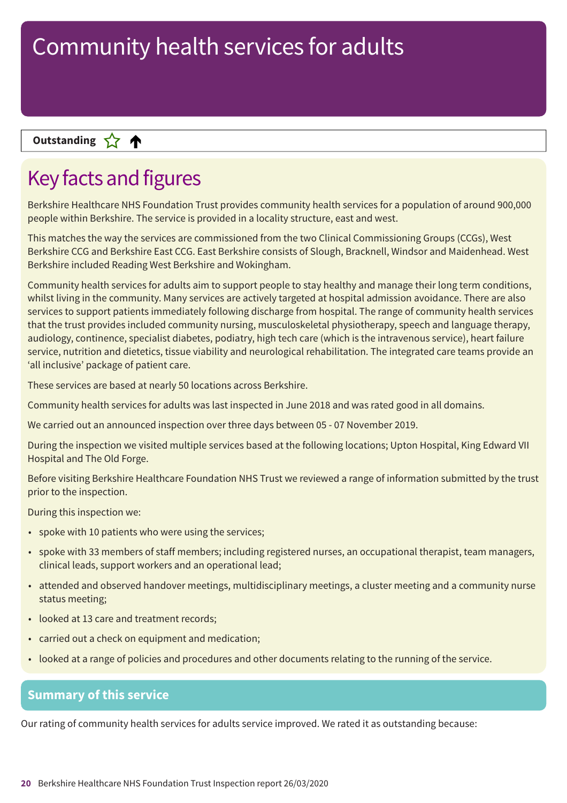### **Letter Cone Extending**

### Key facts and figures

Berkshire Healthcare NHS Foundation Trust provides community health services for a population of around 900,000 people within Berkshire. The service is provided in a locality structure, east and west.

This matches the way the services are commissioned from the two Clinical Commissioning Groups (CCGs), West Berkshire CCG and Berkshire East CCG. East Berkshire consists of Slough, Bracknell, Windsor and Maidenhead. West Berkshire included Reading West Berkshire and Wokingham.

Community health services for adults aim to support people to stay healthy and manage their long term conditions, whilst living in the community. Many services are actively targeted at hospital admission avoidance. There are also services to support patients immediately following discharge from hospital. The range of community health services that the trust provides included community nursing, musculoskeletal physiotherapy, speech and language therapy, audiology, continence, specialist diabetes, podiatry, high tech care (which is the intravenous service), heart failure service, nutrition and dietetics, tissue viability and neurological rehabilitation. The integrated care teams provide an 'all inclusive' package of patient care.

These services are based at nearly 50 locations across Berkshire.

Community health services for adults was last inspected in June 2018 and was rated good in all domains.

We carried out an announced inspection over three days between 05 - 07 November 2019.

During the inspection we visited multiple services based at the following locations; Upton Hospital, King Edward VII Hospital and The Old Forge.

Before visiting Berkshire Healthcare Foundation NHS Trust we reviewed a range of information submitted by the trust prior to the inspection.

During this inspection we:

- spoke with 10 patients who were using the services;
- spoke with 33 members of staff members; including registered nurses, an occupational therapist, team managers, clinical leads, support workers and an operational lead;
- attended and observed handover meetings, multidisciplinary meetings, a cluster meeting and a community nurse status meeting;
- looked at 13 care and treatment records;
- carried out a check on equipment and medication;
- looked at a range of policies and procedures and other documents relating to the running of the service.

#### **Summary of this service**

Our rating of community health services for adults service improved. We rated it as outstanding because: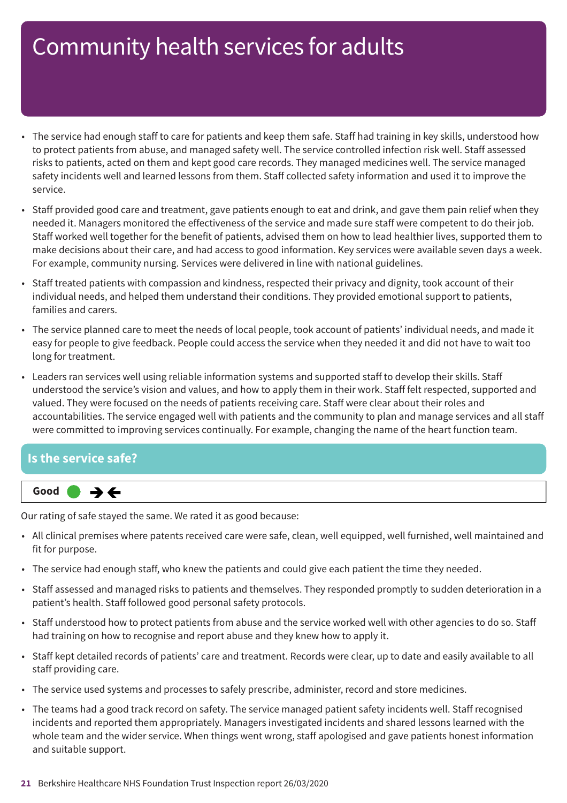- The service had enough staff to care for patients and keep them safe. Staff had training in key skills, understood how to protect patients from abuse, and managed safety well. The service controlled infection risk well. Staff assessed risks to patients, acted on them and kept good care records. They managed medicines well. The service managed safety incidents well and learned lessons from them. Staff collected safety information and used it to improve the service.
- Staff provided good care and treatment, gave patients enough to eat and drink, and gave them pain relief when they needed it. Managers monitored the effectiveness of the service and made sure staff were competent to do their job. Staff worked well together for the benefit of patients, advised them on how to lead healthier lives, supported them to make decisions about their care, and had access to good information. Key services were available seven days a week. For example, community nursing. Services were delivered in line with national guidelines.
- Staff treated patients with compassion and kindness, respected their privacy and dignity, took account of their individual needs, and helped them understand their conditions. They provided emotional support to patients, families and carers.
- The service planned care to meet the needs of local people, took account of patients' individual needs, and made it easy for people to give feedback. People could access the service when they needed it and did not have to wait too long for treatment.
- Leaders ran services well using reliable information systems and supported staff to develop their skills. Staff understood the service's vision and values, and how to apply them in their work. Staff felt respected, supported and valued. They were focused on the needs of patients receiving care. Staff were clear about their roles and accountabilities. The service engaged well with patients and the community to plan and manage services and all staff were committed to improving services continually. For example, changing the name of the heart function team.

### **Is the service safe?**



Our rating of safe stayed the same. We rated it as good because:

- All clinical premises where patents received care were safe, clean, well equipped, well furnished, well maintained and fit for purpose.
- The service had enough staff, who knew the patients and could give each patient the time they needed.
- Staff assessed and managed risks to patients and themselves. They responded promptly to sudden deterioration in a patient's health. Staff followed good personal safety protocols.
- Staff understood how to protect patients from abuse and the service worked well with other agencies to do so. Staff had training on how to recognise and report abuse and they knew how to apply it.
- Staff kept detailed records of patients' care and treatment. Records were clear, up to date and easily available to all staff providing care.
- The service used systems and processes to safely prescribe, administer, record and store medicines.
- The teams had a good track record on safety. The service managed patient safety incidents well. Staff recognised incidents and reported them appropriately. Managers investigated incidents and shared lessons learned with the whole team and the wider service. When things went wrong, staff apologised and gave patients honest information and suitable support.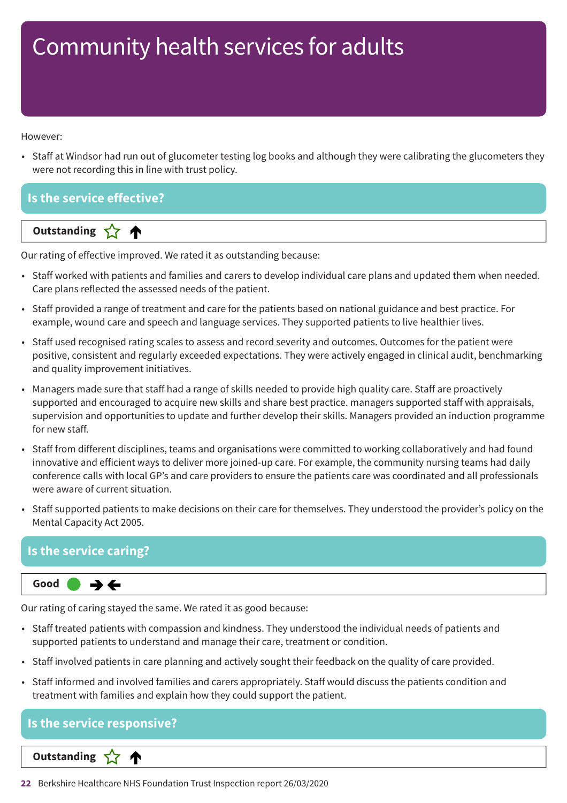However:

• Staff at Windsor had run out of glucometer testing log books and although they were calibrating the glucometers they were not recording this in line with trust policy.

#### **Is the service effective?**

**Dutstanding** 

Our rating of effective improved. We rated it as outstanding because:

- Staff worked with patients and families and carers to develop individual care plans and updated them when needed. Care plans reflected the assessed needs of the patient.
- Staff provided a range of treatment and care for the patients based on national guidance and best practice. For example, wound care and speech and language services. They supported patients to live healthier lives.
- Staff used recognised rating scales to assess and record severity and outcomes. Outcomes for the patient were positive, consistent and regularly exceeded expectations. They were actively engaged in clinical audit, benchmarking and quality improvement initiatives.
- Managers made sure that staff had a range of skills needed to provide high quality care. Staff are proactively supported and encouraged to acquire new skills and share best practice. managers supported staff with appraisals, supervision and opportunities to update and further develop their skills. Managers provided an induction programme for new staff.
- Staff from different disciplines, teams and organisations were committed to working collaboratively and had found innovative and efficient ways to deliver more joined-up care. For example, the community nursing teams had daily conference calls with local GP's and care providers to ensure the patients care was coordinated and all professionals were aware of current situation.
- Staff supported patients to make decisions on their care for themselves. They understood the provider's policy on the Mental Capacity Act 2005.

### **Is the service caring?**

#### **Same–––rating Good –––**  $\rightarrow$   $\leftarrow$

Our rating of caring stayed the same. We rated it as good because:

- Staff treated patients with compassion and kindness. They understood the individual needs of patients and supported patients to understand and manage their care, treatment or condition.
- Staff involved patients in care planning and actively sought their feedback on the quality of care provided.
- Staff informed and involved families and carers appropriately. Staff would discuss the patients condition and treatment with families and explain how they could support the patient.

### **Is the service responsive?** ∧ **Letter Cone Extending**

**22** Berkshire Healthcare NHS Foundation Trust Inspection report 26/03/2020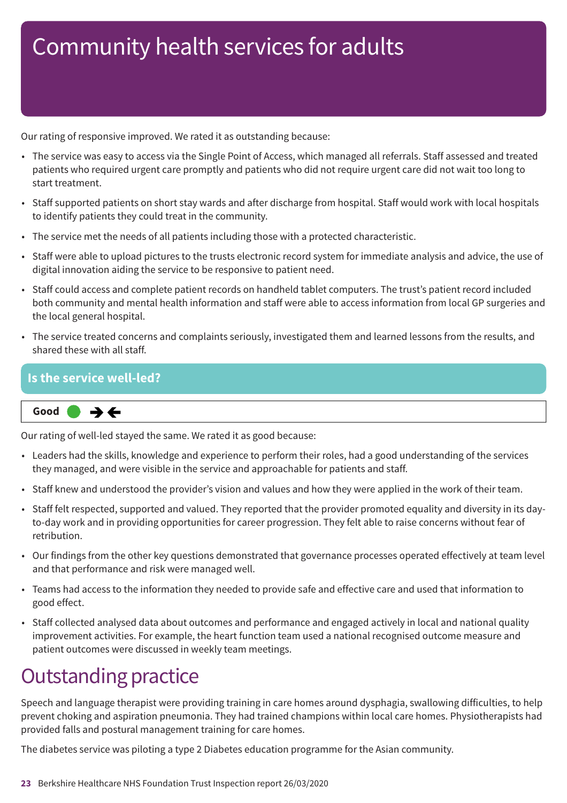Our rating of responsive improved. We rated it as outstanding because:

- The service was easy to access via the Single Point of Access, which managed all referrals. Staff assessed and treated patients who required urgent care promptly and patients who did not require urgent care did not wait too long to start treatment.
- Staff supported patients on short stay wards and after discharge from hospital. Staff would work with local hospitals to identify patients they could treat in the community.
- The service met the needs of all patients including those with a protected characteristic.
- Staff were able to upload pictures to the trusts electronic record system for immediate analysis and advice, the use of digital innovation aiding the service to be responsive to patient need.
- Staff could access and complete patient records on handheld tablet computers. The trust's patient record included both community and mental health information and staff were able to access information from local GP surgeries and the local general hospital.
- The service treated concerns and complaints seriously, investigated them and learned lessons from the results, and shared these with all staff.

### **Is the service well-led?**

$$
\fbox{Good} \qquad \Rightarrow \Leftrightarrow
$$

Our rating of well-led stayed the same. We rated it as good because:

- Leaders had the skills, knowledge and experience to perform their roles, had a good understanding of the services they managed, and were visible in the service and approachable for patients and staff.
- Staff knew and understood the provider's vision and values and how they were applied in the work of their team.
- Staff felt respected, supported and valued. They reported that the provider promoted equality and diversity in its dayto-day work and in providing opportunities for career progression. They felt able to raise concerns without fear of retribution.
- Our findings from the other key questions demonstrated that governance processes operated effectively at team level and that performance and risk were managed well.
- Teams had access to the information they needed to provide safe and effective care and used that information to good effect.
- Staff collected analysed data about outcomes and performance and engaged actively in local and national quality improvement activities. For example, the heart function team used a national recognised outcome measure and patient outcomes were discussed in weekly team meetings.

### **Outstanding practice**

Speech and language therapist were providing training in care homes around dysphagia, swallowing difficulties, to help prevent choking and aspiration pneumonia. They had trained champions within local care homes. Physiotherapists had provided falls and postural management training for care homes.

The diabetes service was piloting a type 2 Diabetes education programme for the Asian community.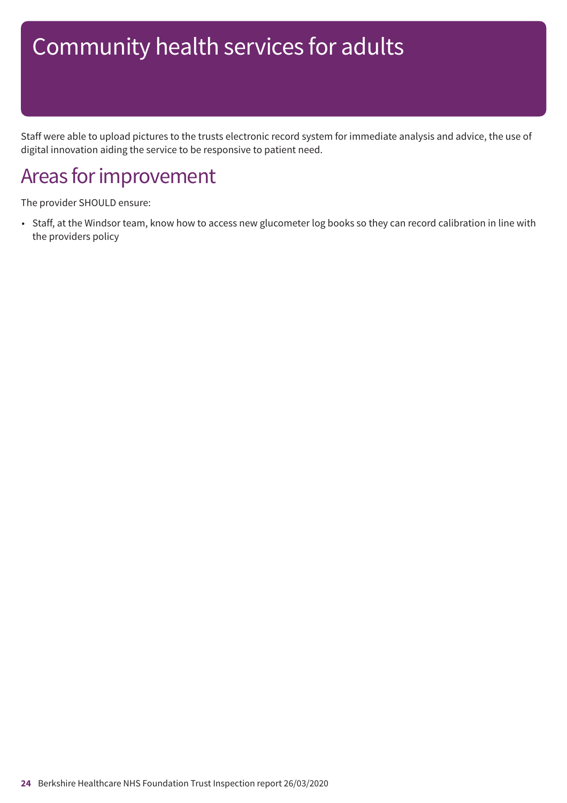Staff were able to upload pictures to the trusts electronic record system for immediate analysis and advice, the use of digital innovation aiding the service to be responsive to patient need.

### Areas for improvement

The provider SHOULD ensure:

• Staff, at the Windsor team, know how to access new glucometer log books so they can record calibration in line with the providers policy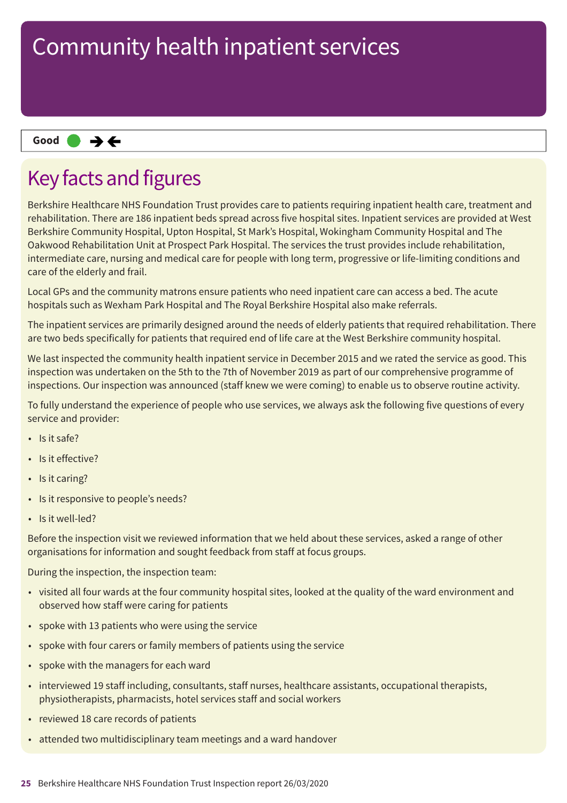#### **Same–––rating Good –––**

### Key facts and figures

Berkshire Healthcare NHS Foundation Trust provides care to patients requiring inpatient health care, treatment and rehabilitation. There are 186 inpatient beds spread across five hospital sites. Inpatient services are provided at West Berkshire Community Hospital, Upton Hospital, St Mark's Hospital, Wokingham Community Hospital and The Oakwood Rehabilitation Unit at Prospect Park Hospital. The services the trust provides include rehabilitation, intermediate care, nursing and medical care for people with long term, progressive or life-limiting conditions and care of the elderly and frail.

Local GPs and the community matrons ensure patients who need inpatient care can access a bed. The acute hospitals such as Wexham Park Hospital and The Royal Berkshire Hospital also make referrals.

The inpatient services are primarily designed around the needs of elderly patients that required rehabilitation. There are two beds specifically for patients that required end of life care at the West Berkshire community hospital.

We last inspected the community health inpatient service in December 2015 and we rated the service as good. This inspection was undertaken on the 5th to the 7th of November 2019 as part of our comprehensive programme of inspections. Our inspection was announced (staff knew we were coming) to enable us to observe routine activity.

To fully understand the experience of people who use services, we always ask the following five questions of every service and provider:

- Is it safe?
- Is it effective?
- Is it caring?
- Is it responsive to people's needs?
- Is it well-led?

Before the inspection visit we reviewed information that we held about these services, asked a range of other organisations for information and sought feedback from staff at focus groups.

During the inspection, the inspection team:

- visited all four wards at the four community hospital sites, looked at the quality of the ward environment and observed how staff were caring for patients
- spoke with 13 patients who were using the service
- spoke with four carers or family members of patients using the service
- spoke with the managers for each ward
- interviewed 19 staff including, consultants, staff nurses, healthcare assistants, occupational therapists, physiotherapists, pharmacists, hotel services staff and social workers
- reviewed 18 care records of patients
- attended two multidisciplinary team meetings and a ward handover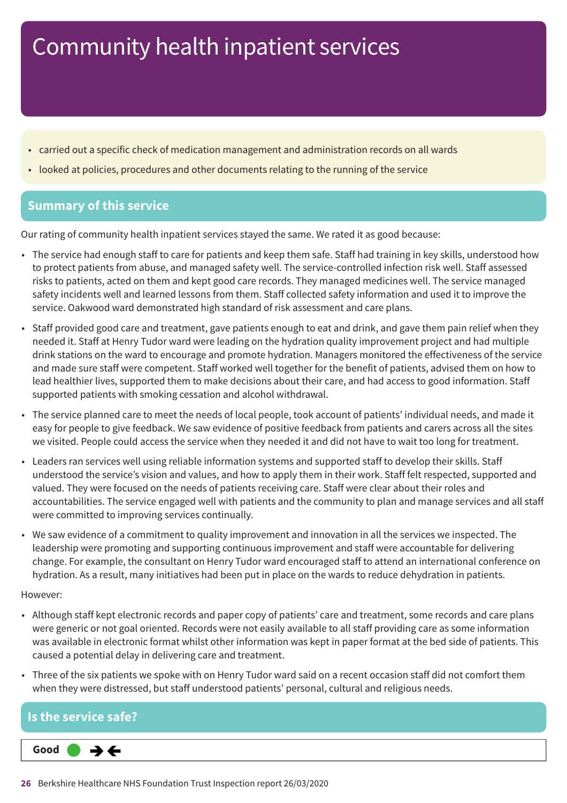- carried out a specific check of medication management and administration records on all wards
- looked at policies, procedures and other documents relating to the running of the service

#### **Summary of this service**

Our rating of community health inpatient services stayed the same. We rated it as good because:

- The service had enough staff to care for patients and keep them safe. Staff had training in key skills, understood how to protect patients from abuse, and managed safety well. The service-controlled infection risk well. Staff assessed risks to patients, acted on them and kept good care records. They managed medicines well. The service managed safety incidents well and learned lessons from them. Staff collected safety information and used it to improve the service. Oakwood ward demonstrated high standard of risk assessment and care plans.
- Staff provided good care and treatment, gave patients enough to eat and drink, and gave them pain relief when they needed it. Staff at Henry Tudor ward were leading on the hydration quality improvement project and had multiple drink stations on the ward to encourage and promote hydration. Managers monitored the effectiveness of the service and made sure staff were competent. Staff worked well together for the benefit of patients, advised them on how to lead healthier lives, supported them to make decisions about their care, and had access to good information. Staff supported patients with smoking cessation and alcohol withdrawal.
- The service planned care to meet the needs of local people, took account of patients' individual needs, and made it easy for people to give feedback. We saw evidence of positive feedback from patients and carers across all the sites we visited. People could access the service when they needed it and did not have to wait too long for treatment.
- Leaders ran services well using reliable information systems and supported staff to develop their skills. Staff understood the service's vision and values, and how to apply them in their work. Staff felt respected, supported and valued. They were focused on the needs of patients receiving care. Staff were clear about their roles and accountabilities. The service engaged well with patients and the community to plan and manage services and all staff were committed to improving services continually.
- We saw evidence of a commitment to quality improvement and innovation in all the services we inspected. The leadership were promoting and supporting continuous improvement and staff were accountable for delivering change. For example, the consultant on Henry Tudor ward encouraged staff to attend an international conference on hydration. As a result, many initiatives had been put in place on the wards to reduce dehydration in patients.

#### However:

- Although staff kept electronic records and paper copy of patients' care and treatment, some records and care plans were generic or not goal oriented. Records were not easily available to all staff providing care as some information was available in electronic format whilst other information was kept in paper format at the bed side of patients. This caused a potential delay in delivering care and treatment.
- Three of the six patients we spoke with on Henry Tudor ward said on a recent occasion staff did not comfort them when they were distressed, but staff understood patients' personal, cultural and religious needs.

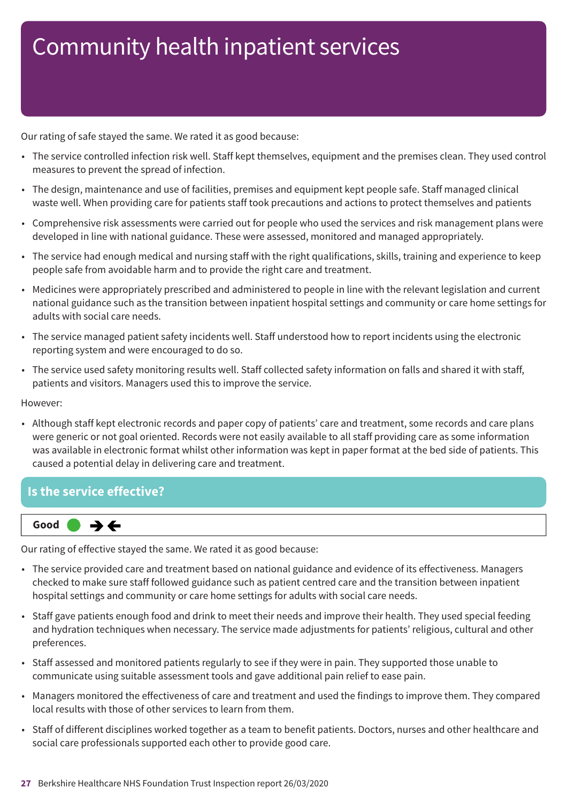Our rating of safe stayed the same. We rated it as good because:

- The service controlled infection risk well. Staff kept themselves, equipment and the premises clean. They used control measures to prevent the spread of infection.
- The design, maintenance and use of facilities, premises and equipment kept people safe. Staff managed clinical waste well. When providing care for patients staff took precautions and actions to protect themselves and patients
- Comprehensive risk assessments were carried out for people who used the services and risk management plans were developed in line with national guidance. These were assessed, monitored and managed appropriately.
- The service had enough medical and nursing staff with the right qualifications, skills, training and experience to keep people safe from avoidable harm and to provide the right care and treatment.
- Medicines were appropriately prescribed and administered to people in line with the relevant legislation and current national guidance such as the transition between inpatient hospital settings and community or care home settings for adults with social care needs.
- The service managed patient safety incidents well. Staff understood how to report incidents using the electronic reporting system and were encouraged to do so.
- The service used safety monitoring results well. Staff collected safety information on falls and shared it with staff, patients and visitors. Managers used this to improve the service.

#### However:

• Although staff kept electronic records and paper copy of patients' care and treatment, some records and care plans were generic or not goal oriented. Records were not easily available to all staff providing care as some information was available in electronic format whilst other information was kept in paper format at the bed side of patients. This caused a potential delay in delivering care and treatment.

### **Is the service effective?**



Our rating of effective stayed the same. We rated it as good because:

- The service provided care and treatment based on national guidance and evidence of its effectiveness. Managers checked to make sure staff followed guidance such as patient centred care and the transition between inpatient hospital settings and community or care home settings for adults with social care needs.
- Staff gave patients enough food and drink to meet their needs and improve their health. They used special feeding and hydration techniques when necessary. The service made adjustments for patients' religious, cultural and other preferences.
- Staff assessed and monitored patients regularly to see if they were in pain. They supported those unable to communicate using suitable assessment tools and gave additional pain relief to ease pain.
- Managers monitored the effectiveness of care and treatment and used the findings to improve them. They compared local results with those of other services to learn from them.
- Staff of different disciplines worked together as a team to benefit patients. Doctors, nurses and other healthcare and social care professionals supported each other to provide good care.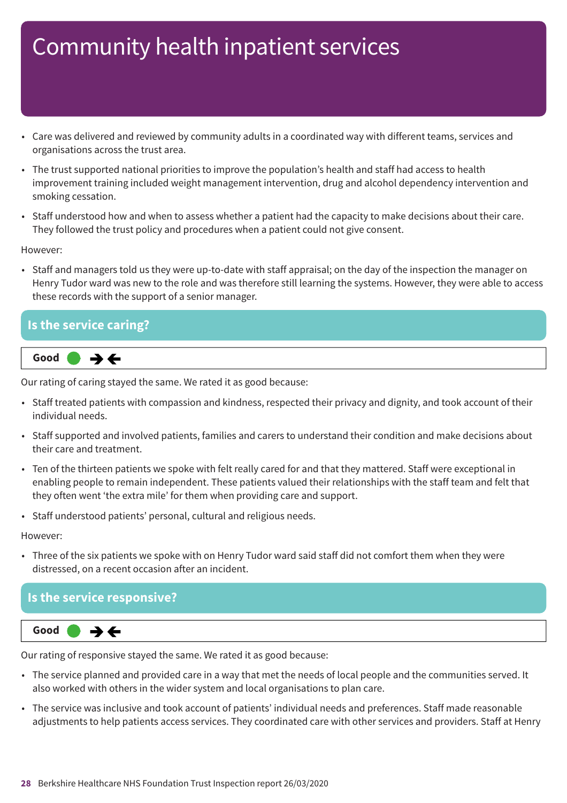- Care was delivered and reviewed by community adults in a coordinated way with different teams, services and organisations across the trust area.
- The trust supported national priorities to improve the population's health and staff had access to health improvement training included weight management intervention, drug and alcohol dependency intervention and smoking cessation.
- Staff understood how and when to assess whether a patient had the capacity to make decisions about their care. They followed the trust policy and procedures when a patient could not give consent.

However:

• Staff and managers told us they were up-to-date with staff appraisal; on the day of the inspection the manager on Henry Tudor ward was new to the role and was therefore still learning the systems. However, they were able to access these records with the support of a senior manager.

# **Is the service caring?**



Our rating of caring stayed the same. We rated it as good because:

- Staff treated patients with compassion and kindness, respected their privacy and dignity, and took account of their individual needs.
- Staff supported and involved patients, families and carers to understand their condition and make decisions about their care and treatment.
- Ten of the thirteen patients we spoke with felt really cared for and that they mattered. Staff were exceptional in enabling people to remain independent. These patients valued their relationships with the staff team and felt that they often went 'the extra mile' for them when providing care and support.
- Staff understood patients' personal, cultural and religious needs.

However:

• Three of the six patients we spoke with on Henry Tudor ward said staff did not comfort them when they were distressed, on a recent occasion after an incident.

### **Is the service responsive?**



Our rating of responsive stayed the same. We rated it as good because:

- The service planned and provided care in a way that met the needs of local people and the communities served. It also worked with others in the wider system and local organisations to plan care.
- The service was inclusive and took account of patients' individual needs and preferences. Staff made reasonable adjustments to help patients access services. They coordinated care with other services and providers. Staff at Henry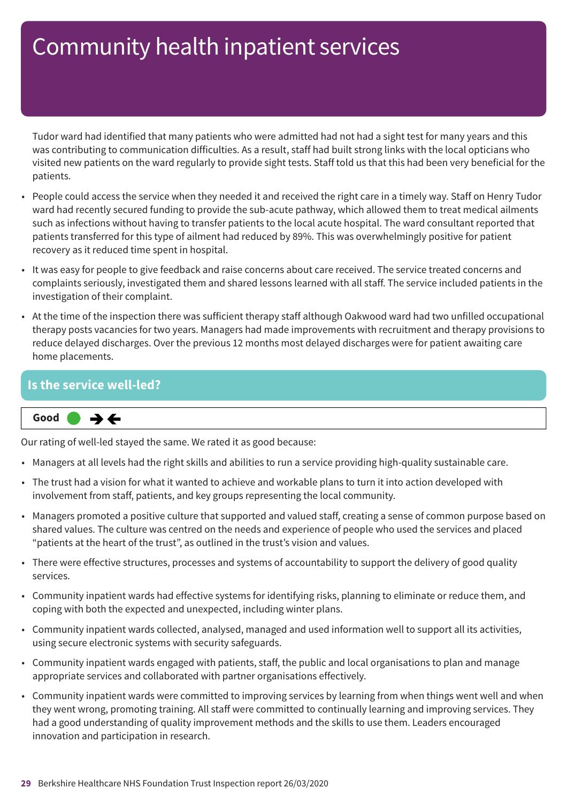Tudor ward had identified that many patients who were admitted had not had a sight test for many years and this was contributing to communication difficulties. As a result, staff had built strong links with the local opticians who visited new patients on the ward regularly to provide sight tests. Staff told us that this had been very beneficial for the patients.

- People could access the service when they needed it and received the right care in a timely way. Staff on Henry Tudor ward had recently secured funding to provide the sub-acute pathway, which allowed them to treat medical ailments such as infections without having to transfer patients to the local acute hospital. The ward consultant reported that patients transferred for this type of ailment had reduced by 89%. This was overwhelmingly positive for patient recovery as it reduced time spent in hospital.
- It was easy for people to give feedback and raise concerns about care received. The service treated concerns and complaints seriously, investigated them and shared lessons learned with all staff. The service included patients in the investigation of their complaint.
- At the time of the inspection there was sufficient therapy staff although Oakwood ward had two unfilled occupational therapy posts vacancies for two years. Managers had made improvements with recruitment and therapy provisions to reduce delayed discharges. Over the previous 12 months most delayed discharges were for patient awaiting care home placements.

#### **Is the service well-led?**

**Same–––rating Good –––**

Our rating of well-led stayed the same. We rated it as good because:

- Managers at all levels had the right skills and abilities to run a service providing high-quality sustainable care.
- The trust had a vision for what it wanted to achieve and workable plans to turn it into action developed with involvement from staff, patients, and key groups representing the local community.
- Managers promoted a positive culture that supported and valued staff, creating a sense of common purpose based on shared values. The culture was centred on the needs and experience of people who used the services and placed "patients at the heart of the trust", as outlined in the trust's vision and values.
- There were effective structures, processes and systems of accountability to support the delivery of good quality services.
- Community inpatient wards had effective systems for identifying risks, planning to eliminate or reduce them, and coping with both the expected and unexpected, including winter plans.
- Community inpatient wards collected, analysed, managed and used information well to support all its activities, using secure electronic systems with security safeguards.
- Community inpatient wards engaged with patients, staff, the public and local organisations to plan and manage appropriate services and collaborated with partner organisations effectively.
- Community inpatient wards were committed to improving services by learning from when things went well and when they went wrong, promoting training. All staff were committed to continually learning and improving services. They had a good understanding of quality improvement methods and the skills to use them. Leaders encouraged innovation and participation in research.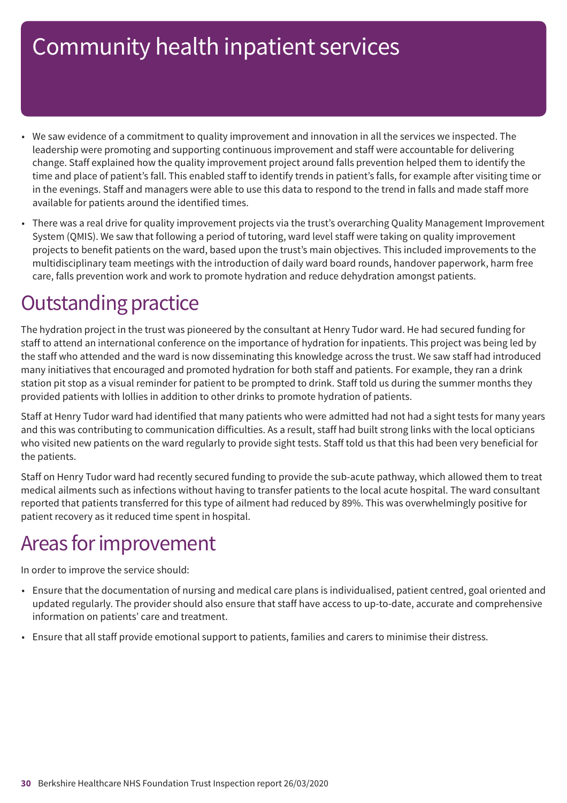- We saw evidence of a commitment to quality improvement and innovation in all the services we inspected. The leadership were promoting and supporting continuous improvement and staff were accountable for delivering change. Staff explained how the quality improvement project around falls prevention helped them to identify the time and place of patient's fall. This enabled staff to identify trends in patient's falls, for example after visiting time or in the evenings. Staff and managers were able to use this data to respond to the trend in falls and made staff more available for patients around the identified times.
- There was a real drive for quality improvement projects via the trust's overarching Quality Management Improvement System (QMIS). We saw that following a period of tutoring, ward level staff were taking on quality improvement projects to benefit patients on the ward, based upon the trust's main objectives. This included improvements to the multidisciplinary team meetings with the introduction of daily ward board rounds, handover paperwork, harm free care, falls prevention work and work to promote hydration and reduce dehydration amongst patients.

### **Outstanding practice**

The hydration project in the trust was pioneered by the consultant at Henry Tudor ward. He had secured funding for staff to attend an international conference on the importance of hydration for inpatients. This project was being led by the staff who attended and the ward is now disseminating this knowledge across the trust. We saw staff had introduced many initiatives that encouraged and promoted hydration for both staff and patients. For example, they ran a drink station pit stop as a visual reminder for patient to be prompted to drink. Staff told us during the summer months they provided patients with lollies in addition to other drinks to promote hydration of patients.

Staff at Henry Tudor ward had identified that many patients who were admitted had not had a sight tests for many years and this was contributing to communication difficulties. As a result, staff had built strong links with the local opticians who visited new patients on the ward regularly to provide sight tests. Staff told us that this had been very beneficial for the patients.

Staff on Henry Tudor ward had recently secured funding to provide the sub-acute pathway, which allowed them to treat medical ailments such as infections without having to transfer patients to the local acute hospital. The ward consultant reported that patients transferred for this type of ailment had reduced by 89%. This was overwhelmingly positive for patient recovery as it reduced time spent in hospital.

### Areas for improvement

In order to improve the service should:

- Ensure that the documentation of nursing and medical care plans is individualised, patient centred, goal oriented and updated regularly. The provider should also ensure that staff have access to up-to-date, accurate and comprehensive information on patients' care and treatment.
- Ensure that all staff provide emotional support to patients, families and carers to minimise their distress.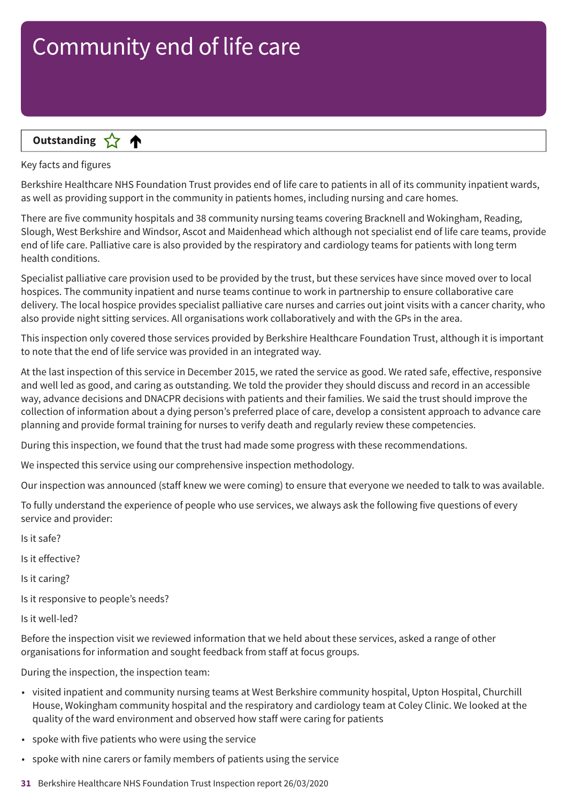

Key facts and figures

Berkshire Healthcare NHS Foundation Trust provides end of life care to patients in all of its community inpatient wards, as well as providing support in the community in patients homes, including nursing and care homes.

There are five community hospitals and 38 community nursing teams covering Bracknell and Wokingham, Reading, Slough, West Berkshire and Windsor, Ascot and Maidenhead which although not specialist end of life care teams, provide end of life care. Palliative care is also provided by the respiratory and cardiology teams for patients with long term health conditions.

Specialist palliative care provision used to be provided by the trust, but these services have since moved over to local hospices. The community inpatient and nurse teams continue to work in partnership to ensure collaborative care delivery. The local hospice provides specialist palliative care nurses and carries out joint visits with a cancer charity, who also provide night sitting services. All organisations work collaboratively and with the GPs in the area.

This inspection only covered those services provided by Berkshire Healthcare Foundation Trust, although it is important to note that the end of life service was provided in an integrated way.

At the last inspection of this service in December 2015, we rated the service as good. We rated safe, effective, responsive and well led as good, and caring as outstanding. We told the provider they should discuss and record in an accessible way, advance decisions and DNACPR decisions with patients and their families. We said the trust should improve the collection of information about a dying person's preferred place of care, develop a consistent approach to advance care planning and provide formal training for nurses to verify death and regularly review these competencies.

During this inspection, we found that the trust had made some progress with these recommendations.

We inspected this service using our comprehensive inspection methodology.

Our inspection was announced (staff knew we were coming) to ensure that everyone we needed to talk to was available.

To fully understand the experience of people who use services, we always ask the following five questions of every service and provider:

Is it safe?

Is it effective?

Is it caring?

Is it responsive to people's needs?

Is it well-led?

Before the inspection visit we reviewed information that we held about these services, asked a range of other organisations for information and sought feedback from staff at focus groups.

During the inspection, the inspection team:

- visited inpatient and community nursing teams at West Berkshire community hospital, Upton Hospital, Churchill House, Wokingham community hospital and the respiratory and cardiology team at Coley Clinic. We looked at the quality of the ward environment and observed how staff were caring for patients
- spoke with five patients who were using the service
- spoke with nine carers or family members of patients using the service
- **31** Berkshire Healthcare NHS Foundation Trust Inspection report 26/03/2020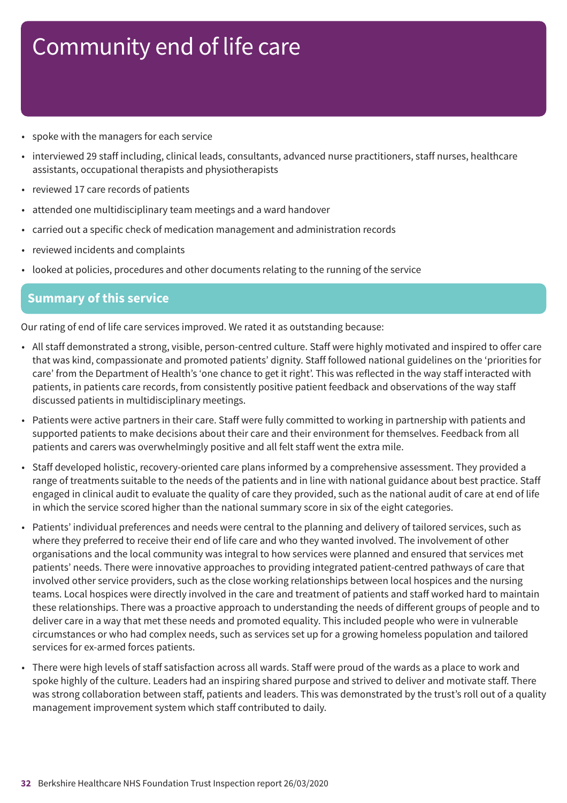- spoke with the managers for each service
- interviewed 29 staff including, clinical leads, consultants, advanced nurse practitioners, staff nurses, healthcare assistants, occupational therapists and physiotherapists
- reviewed 17 care records of patients
- attended one multidisciplinary team meetings and a ward handover
- carried out a specific check of medication management and administration records
- reviewed incidents and complaints
- looked at policies, procedures and other documents relating to the running of the service

#### **Summary of this service**

Our rating of end of life care services improved. We rated it as outstanding because:

- All staff demonstrated a strong, visible, person-centred culture. Staff were highly motivated and inspired to offer care that was kind, compassionate and promoted patients' dignity. Staff followed national guidelines on the 'priorities for care' from the Department of Health's 'one chance to get it right'. This was reflected in the way staff interacted with patients, in patients care records, from consistently positive patient feedback and observations of the way staff discussed patients in multidisciplinary meetings.
- Patients were active partners in their care. Staff were fully committed to working in partnership with patients and supported patients to make decisions about their care and their environment for themselves. Feedback from all patients and carers was overwhelmingly positive and all felt staff went the extra mile.
- Staff developed holistic, recovery-oriented care plans informed by a comprehensive assessment. They provided a range of treatments suitable to the needs of the patients and in line with national guidance about best practice. Staff engaged in clinical audit to evaluate the quality of care they provided, such as the national audit of care at end of life in which the service scored higher than the national summary score in six of the eight categories.
- Patients' individual preferences and needs were central to the planning and delivery of tailored services, such as where they preferred to receive their end of life care and who they wanted involved. The involvement of other organisations and the local community was integral to how services were planned and ensured that services met patients' needs. There were innovative approaches to providing integrated patient-centred pathways of care that involved other service providers, such as the close working relationships between local hospices and the nursing teams. Local hospices were directly involved in the care and treatment of patients and staff worked hard to maintain these relationships. There was a proactive approach to understanding the needs of different groups of people and to deliver care in a way that met these needs and promoted equality. This included people who were in vulnerable circumstances or who had complex needs, such as services set up for a growing homeless population and tailored services for ex-armed forces patients.
- There were high levels of staff satisfaction across all wards. Staff were proud of the wards as a place to work and spoke highly of the culture. Leaders had an inspiring shared purpose and strived to deliver and motivate staff. There was strong collaboration between staff, patients and leaders. This was demonstrated by the trust's roll out of a quality management improvement system which staff contributed to daily.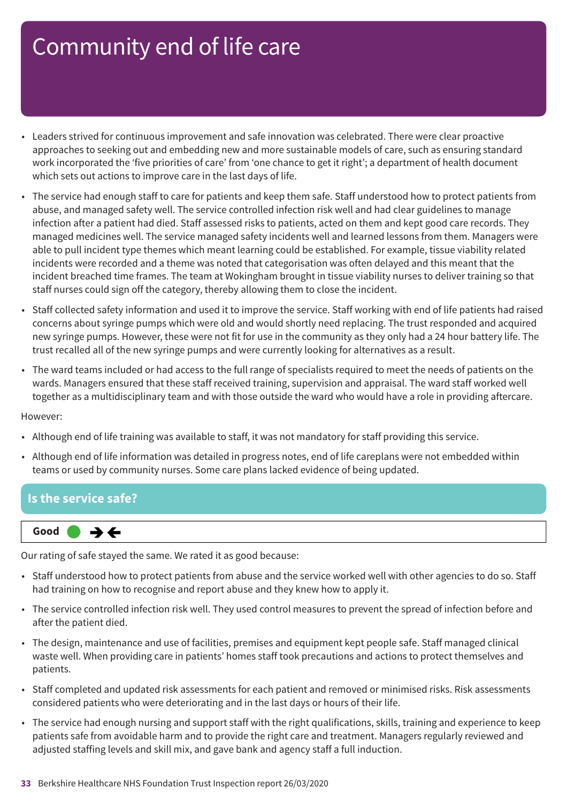- Leaders strived for continuous improvement and safe innovation was celebrated. There were clear proactive approaches to seeking out and embedding new and more sustainable models of care, such as ensuring standard work incorporated the 'five priorities of care' from 'one chance to get it right'; a department of health document which sets out actions to improve care in the last days of life.
- The service had enough staff to care for patients and keep them safe. Staff understood how to protect patients from abuse, and managed safety well. The service controlled infection risk well and had clear guidelines to manage infection after a patient had died. Staff assessed risks to patients, acted on them and kept good care records. They managed medicines well. The service managed safety incidents well and learned lessons from them. Managers were able to pull incident type themes which meant learning could be established. For example, tissue viability related incidents were recorded and a theme was noted that categorisation was often delayed and this meant that the incident breached time frames. The team at Wokingham brought in tissue viability nurses to deliver training so that staff nurses could sign off the category, thereby allowing them to close the incident.
- Staff collected safety information and used it to improve the service. Staff working with end of life patients had raised concerns about syringe pumps which were old and would shortly need replacing. The trust responded and acquired new syringe pumps. However, these were not fit for use in the community as they only had a 24 hour battery life. The trust recalled all of the new syringe pumps and were currently looking for alternatives as a result.
- The ward teams included or had access to the full range of specialists required to meet the needs of patients on the wards. Managers ensured that these staff received training, supervision and appraisal. The ward staff worked well together as a multidisciplinary team and with those outside the ward who would have a role in providing aftercare.

However:

- Although end of life training was available to staff, it was not mandatory for staff providing this service.
- Although end of life information was detailed in progress notes, end of life careplans were not embedded within teams or used by community nurses. Some care plans lacked evidence of being updated.

#### **Is the service safe?**



Our rating of safe stayed the same. We rated it as good because:

- Staff understood how to protect patients from abuse and the service worked well with other agencies to do so. Staff had training on how to recognise and report abuse and they knew how to apply it.
- The service controlled infection risk well. They used control measures to prevent the spread of infection before and after the patient died.
- The design, maintenance and use of facilities, premises and equipment kept people safe. Staff managed clinical waste well. When providing care in patients' homes staff took precautions and actions to protect themselves and patients.
- Staff completed and updated risk assessments for each patient and removed or minimised risks. Risk assessments considered patients who were deteriorating and in the last days or hours of their life.
- The service had enough nursing and support staff with the right qualifications, skills, training and experience to keep patients safe from avoidable harm and to provide the right care and treatment. Managers regularly reviewed and adjusted staffing levels and skill mix, and gave bank and agency staff a full induction.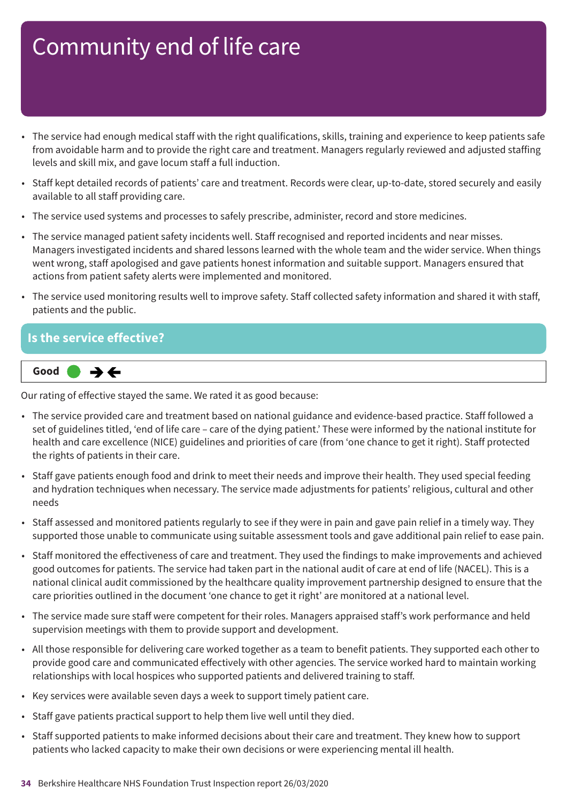- The service had enough medical staff with the right qualifications, skills, training and experience to keep patients safe from avoidable harm and to provide the right care and treatment. Managers regularly reviewed and adjusted staffing levels and skill mix, and gave locum staff a full induction.
- Staff kept detailed records of patients' care and treatment. Records were clear, up-to-date, stored securely and easily available to all staff providing care.
- The service used systems and processes to safely prescribe, administer, record and store medicines.
- The service managed patient safety incidents well. Staff recognised and reported incidents and near misses. Managers investigated incidents and shared lessons learned with the whole team and the wider service. When things went wrong, staff apologised and gave patients honest information and suitable support. Managers ensured that actions from patient safety alerts were implemented and monitored.
- The service used monitoring results well to improve safety. Staff collected safety information and shared it with staff, patients and the public.

#### **Is the service effective?**



Our rating of effective stayed the same. We rated it as good because:

- The service provided care and treatment based on national guidance and evidence-based practice. Staff followed a set of guidelines titled, 'end of life care – care of the dying patient.' These were informed by the national institute for health and care excellence (NICE) guidelines and priorities of care (from 'one chance to get it right). Staff protected the rights of patients in their care.
- Staff gave patients enough food and drink to meet their needs and improve their health. They used special feeding and hydration techniques when necessary. The service made adjustments for patients' religious, cultural and other needs
- Staff assessed and monitored patients regularly to see if they were in pain and gave pain relief in a timely way. They supported those unable to communicate using suitable assessment tools and gave additional pain relief to ease pain.
- Staff monitored the effectiveness of care and treatment. They used the findings to make improvements and achieved good outcomes for patients. The service had taken part in the national audit of care at end of life (NACEL). This is a national clinical audit commissioned by the healthcare quality improvement partnership designed to ensure that the care priorities outlined in the document 'one chance to get it right' are monitored at a national level.
- The service made sure staff were competent for their roles. Managers appraised staff's work performance and held supervision meetings with them to provide support and development.
- All those responsible for delivering care worked together as a team to benefit patients. They supported each other to provide good care and communicated effectively with other agencies. The service worked hard to maintain working relationships with local hospices who supported patients and delivered training to staff.
- Key services were available seven days a week to support timely patient care.
- Staff gave patients practical support to help them live well until they died.
- Staff supported patients to make informed decisions about their care and treatment. They knew how to support patients who lacked capacity to make their own decisions or were experiencing mental ill health.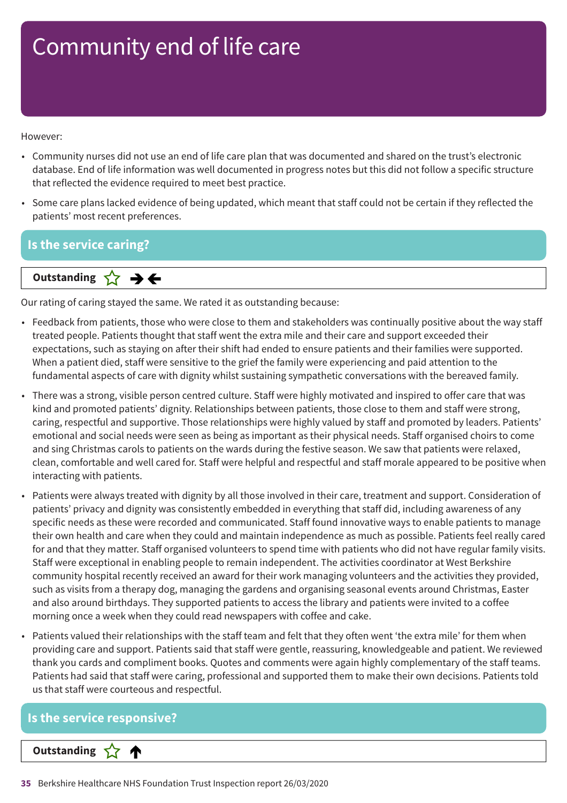However:

- Community nurses did not use an end of life care plan that was documented and shared on the trust's electronic database. End of life information was well documented in progress notes but this did not follow a specific structure that reflected the evidence required to meet best practice.
- Some care plans lacked evidence of being updated, which meant that staff could not be certain if they reflected the patients' most recent preferences.

### **Is the service caring?**

**Same–––rating Outstanding**

Our rating of caring stayed the same. We rated it as outstanding because:

- Feedback from patients, those who were close to them and stakeholders was continually positive about the way staff treated people. Patients thought that staff went the extra mile and their care and support exceeded their expectations, such as staying on after their shift had ended to ensure patients and their families were supported. When a patient died, staff were sensitive to the grief the family were experiencing and paid attention to the fundamental aspects of care with dignity whilst sustaining sympathetic conversations with the bereaved family.
- There was a strong, visible person centred culture. Staff were highly motivated and inspired to offer care that was kind and promoted patients' dignity. Relationships between patients, those close to them and staff were strong, caring, respectful and supportive. Those relationships were highly valued by staff and promoted by leaders. Patients' emotional and social needs were seen as being as important as their physical needs. Staff organised choirs to come and sing Christmas carols to patients on the wards during the festive season. We saw that patients were relaxed, clean, comfortable and well cared for. Staff were helpful and respectful and staff morale appeared to be positive when interacting with patients.
- Patients were always treated with dignity by all those involved in their care, treatment and support. Consideration of patients' privacy and dignity was consistently embedded in everything that staff did, including awareness of any specific needs as these were recorded and communicated. Staff found innovative ways to enable patients to manage their own health and care when they could and maintain independence as much as possible. Patients feel really cared for and that they matter. Staff organised volunteers to spend time with patients who did not have regular family visits. Staff were exceptional in enabling people to remain independent. The activities coordinator at West Berkshire community hospital recently received an award for their work managing volunteers and the activities they provided, such as visits from a therapy dog, managing the gardens and organising seasonal events around Christmas, Easter and also around birthdays. They supported patients to access the library and patients were invited to a coffee morning once a week when they could read newspapers with coffee and cake.
- Patients valued their relationships with the staff team and felt that they often went 'the extra mile' for them when providing care and support. Patients said that staff were gentle, reassuring, knowledgeable and patient. We reviewed thank you cards and compliment books. Quotes and comments were again highly complementary of the staff teams. Patients had said that staff were caring, professional and supported them to make their own decisions. Patients told us that staff were courteous and respectful.

# **Is the service responsive? Letter Cone Extending**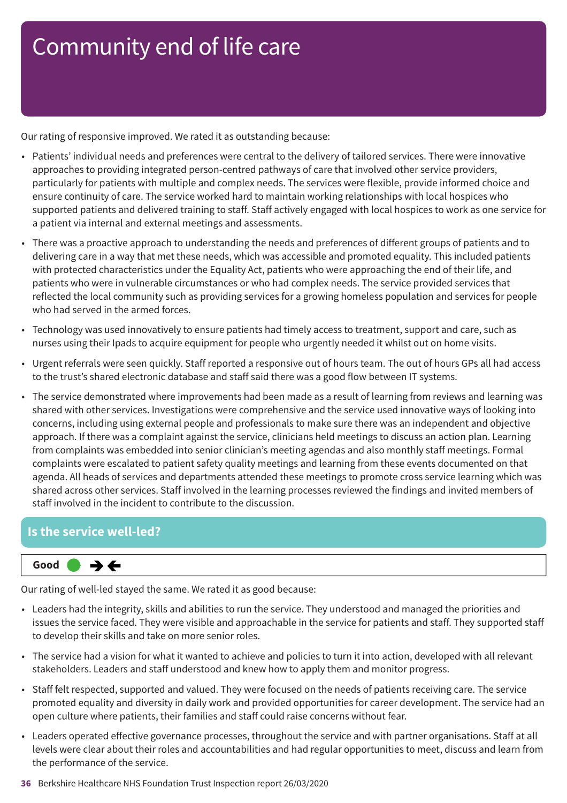Our rating of responsive improved. We rated it as outstanding because:

- Patients' individual needs and preferences were central to the delivery of tailored services. There were innovative approaches to providing integrated person-centred pathways of care that involved other service providers, particularly for patients with multiple and complex needs. The services were flexible, provide informed choice and ensure continuity of care. The service worked hard to maintain working relationships with local hospices who supported patients and delivered training to staff. Staff actively engaged with local hospices to work as one service for a patient via internal and external meetings and assessments.
- There was a proactive approach to understanding the needs and preferences of different groups of patients and to delivering care in a way that met these needs, which was accessible and promoted equality. This included patients with protected characteristics under the Equality Act, patients who were approaching the end of their life, and patients who were in vulnerable circumstances or who had complex needs. The service provided services that reflected the local community such as providing services for a growing homeless population and services for people who had served in the armed forces.
- Technology was used innovatively to ensure patients had timely access to treatment, support and care, such as nurses using their Ipads to acquire equipment for people who urgently needed it whilst out on home visits.
- Urgent referrals were seen quickly. Staff reported a responsive out of hours team. The out of hours GPs all had access to the trust's shared electronic database and staff said there was a good flow between IT systems.
- The service demonstrated where improvements had been made as a result of learning from reviews and learning was shared with other services. Investigations were comprehensive and the service used innovative ways of looking into concerns, including using external people and professionals to make sure there was an independent and objective approach. If there was a complaint against the service, clinicians held meetings to discuss an action plan. Learning from complaints was embedded into senior clinician's meeting agendas and also monthly staff meetings. Formal complaints were escalated to patient safety quality meetings and learning from these events documented on that agenda. All heads of services and departments attended these meetings to promote cross service learning which was shared across other services. Staff involved in the learning processes reviewed the findings and invited members of staff involved in the incident to contribute to the discussion.

### **Is the service well-led?**



Our rating of well-led stayed the same. We rated it as good because:

- Leaders had the integrity, skills and abilities to run the service. They understood and managed the priorities and issues the service faced. They were visible and approachable in the service for patients and staff. They supported staff to develop their skills and take on more senior roles.
- The service had a vision for what it wanted to achieve and policies to turn it into action, developed with all relevant stakeholders. Leaders and staff understood and knew how to apply them and monitor progress.
- Staff felt respected, supported and valued. They were focused on the needs of patients receiving care. The service promoted equality and diversity in daily work and provided opportunities for career development. The service had an open culture where patients, their families and staff could raise concerns without fear.
- Leaders operated effective governance processes, throughout the service and with partner organisations. Staff at all levels were clear about their roles and accountabilities and had regular opportunities to meet, discuss and learn from the performance of the service.

#### **36** Berkshire Healthcare NHS Foundation Trust Inspection report 26/03/2020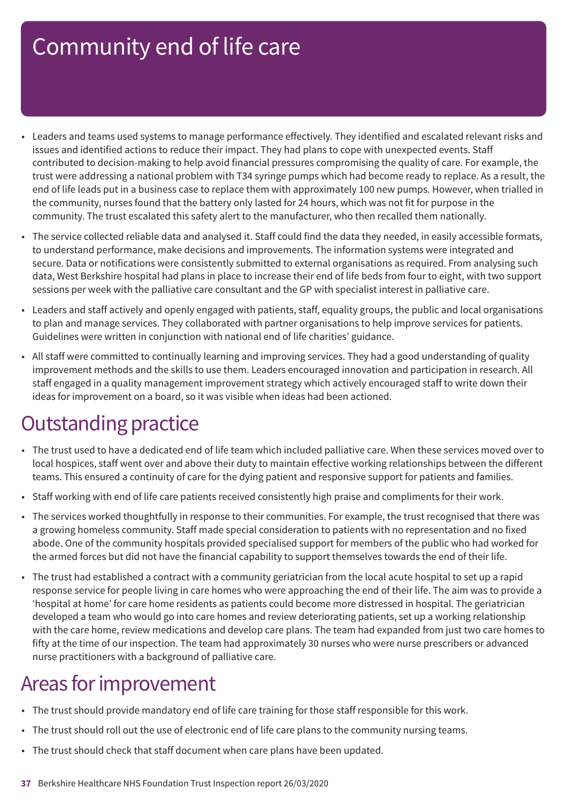- Leaders and teams used systems to manage performance effectively. They identified and escalated relevant risks and issues and identified actions to reduce their impact. They had plans to cope with unexpected events. Staff contributed to decision-making to help avoid financial pressures compromising the quality of care. For example, the trust were addressing a national problem with T34 syringe pumps which had become ready to replace. As a result, the end of life leads put in a business case to replace them with approximately 100 new pumps. However, when trialled in the community, nurses found that the battery only lasted for 24 hours, which was not fit for purpose in the community. The trust escalated this safety alert to the manufacturer, who then recalled them nationally.
- The service collected reliable data and analysed it. Staff could find the data they needed, in easily accessible formats, to understand performance, make decisions and improvements. The information systems were integrated and secure. Data or notifications were consistently submitted to external organisations as required. From analysing such data, West Berkshire hospital had plans in place to increase their end of life beds from four to eight, with two support sessions per week with the palliative care consultant and the GP with specialist interest in palliative care.
- Leaders and staff actively and openly engaged with patients, staff, equality groups, the public and local organisations to plan and manage services. They collaborated with partner organisations to help improve services for patients. Guidelines were written in conjunction with national end of life charities' guidance.
- All staff were committed to continually learning and improving services. They had a good understanding of quality improvement methods and the skills to use them. Leaders encouraged innovation and participation in research. All staff engaged in a quality management improvement strategy which actively encouraged staff to write down their ideas for improvement on a board, so it was visible when ideas had been actioned.

### **Outstanding practice**

- The trust used to have a dedicated end of life team which included palliative care. When these services moved over to local hospices, staff went over and above their duty to maintain effective working relationships between the different teams. This ensured a continuity of care for the dying patient and responsive support for patients and families.
- Staff working with end of life care patients received consistently high praise and compliments for their work.
- The services worked thoughtfully in response to their communities. For example, the trust recognised that there was a growing homeless community. Staff made special consideration to patients with no representation and no fixed abode. One of the community hospitals provided specialised support for members of the public who had worked for the armed forces but did not have the financial capability to support themselves towards the end of their life.
- The trust had established a contract with a community geriatrician from the local acute hospital to set up a rapid response service for people living in care homes who were approaching the end of their life. The aim was to provide a 'hospital at home' for care home residents as patients could become more distressed in hospital. The geriatrician developed a team who would go into care homes and review deteriorating patients, set up a working relationship with the care home, review medications and develop care plans. The team had expanded from just two care homes to fifty at the time of our inspection. The team had approximately 30 nurses who were nurse prescribers or advanced nurse practitioners with a background of palliative care.

### Areas for improvement

- The trust should provide mandatory end of life care training for those staff responsible for this work.
- The trust should roll out the use of electronic end of life care plans to the community nursing teams.
- The trust should check that staff document when care plans have been updated.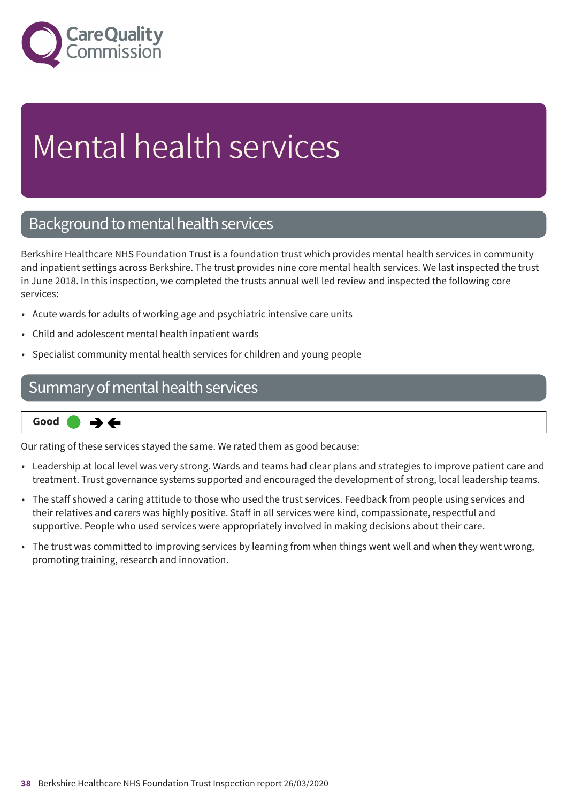

# Mental health services

### Background to mental health services

Berkshire Healthcare NHS Foundation Trust is a foundation trust which provides mental health services in community and inpatient settings across Berkshire. The trust provides nine core mental health services. We last inspected the trust in June 2018. In this inspection, we completed the trusts annual well led review and inspected the following core services:

- Acute wards for adults of working age and psychiatric intensive care units
- Child and adolescent mental health inpatient wards
- Specialist community mental health services for children and young people

### Summary of mental health services



Our rating of these services stayed the same. We rated them as good because:

- Leadership at local level was very strong. Wards and teams had clear plans and strategies to improve patient care and treatment. Trust governance systems supported and encouraged the development of strong, local leadership teams.
- The staff showed a caring attitude to those who used the trust services. Feedback from people using services and their relatives and carers was highly positive. Staff in all services were kind, compassionate, respectful and supportive. People who used services were appropriately involved in making decisions about their care.
- The trust was committed to improving services by learning from when things went well and when they went wrong, promoting training, research and innovation.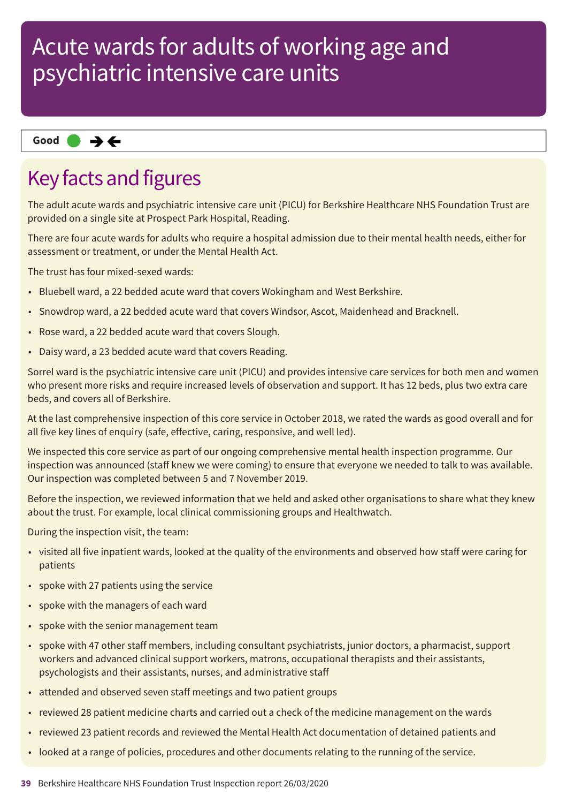#### **Same–––rating Good –––**

### Key facts and figures

The adult acute wards and psychiatric intensive care unit (PICU) for Berkshire Healthcare NHS Foundation Trust are provided on a single site at Prospect Park Hospital, Reading.

There are four acute wards for adults who require a hospital admission due to their mental health needs, either for assessment or treatment, or under the Mental Health Act.

The trust has four mixed-sexed wards:

- Bluebell ward, a 22 bedded acute ward that covers Wokingham and West Berkshire.
- Snowdrop ward, a 22 bedded acute ward that covers Windsor, Ascot, Maidenhead and Bracknell.
- Rose ward, a 22 bedded acute ward that covers Slough.
- Daisy ward, a 23 bedded acute ward that covers Reading.

Sorrel ward is the psychiatric intensive care unit (PICU) and provides intensive care services for both men and women who present more risks and require increased levels of observation and support. It has 12 beds, plus two extra care beds, and covers all of Berkshire.

At the last comprehensive inspection of this core service in October 2018, we rated the wards as good overall and for all five key lines of enquiry (safe, effective, caring, responsive, and well led).

We inspected this core service as part of our ongoing comprehensive mental health inspection programme. Our inspection was announced (staff knew we were coming) to ensure that everyone we needed to talk to was available. Our inspection was completed between 5 and 7 November 2019.

Before the inspection, we reviewed information that we held and asked other organisations to share what they knew about the trust. For example, local clinical commissioning groups and Healthwatch.

During the inspection visit, the team:

- visited all five inpatient wards, looked at the quality of the environments and observed how staff were caring for patients
- spoke with 27 patients using the service
- spoke with the managers of each ward
- spoke with the senior management team
- spoke with 47 other staff members, including consultant psychiatrists, junior doctors, a pharmacist, support workers and advanced clinical support workers, matrons, occupational therapists and their assistants, psychologists and their assistants, nurses, and administrative staff
- attended and observed seven staff meetings and two patient groups
- reviewed 28 patient medicine charts and carried out a check of the medicine management on the wards
- reviewed 23 patient records and reviewed the Mental Health Act documentation of detained patients and
- looked at a range of policies, procedures and other documents relating to the running of the service.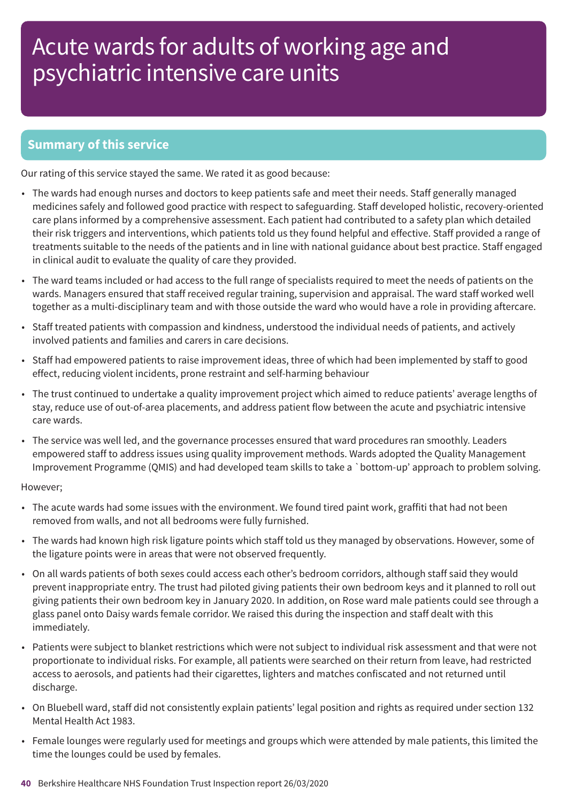### **Summary of this service**

Our rating of this service stayed the same. We rated it as good because:

- The wards had enough nurses and doctors to keep patients safe and meet their needs. Staff generally managed medicines safely and followed good practice with respect to safeguarding. Staff developed holistic, recovery-oriented care plans informed by a comprehensive assessment. Each patient had contributed to a safety plan which detailed their risk triggers and interventions, which patients told us they found helpful and effective. Staff provided a range of treatments suitable to the needs of the patients and in line with national guidance about best practice. Staff engaged in clinical audit to evaluate the quality of care they provided.
- The ward teams included or had access to the full range of specialists required to meet the needs of patients on the wards. Managers ensured that staff received regular training, supervision and appraisal. The ward staff worked well together as a multi-disciplinary team and with those outside the ward who would have a role in providing aftercare.
- Staff treated patients with compassion and kindness, understood the individual needs of patients, and actively involved patients and families and carers in care decisions.
- Staff had empowered patients to raise improvement ideas, three of which had been implemented by staff to good effect, reducing violent incidents, prone restraint and self-harming behaviour
- The trust continued to undertake a quality improvement project which aimed to reduce patients' average lengths of stay, reduce use of out-of-area placements, and address patient flow between the acute and psychiatric intensive care wards.
- The service was well led, and the governance processes ensured that ward procedures ran smoothly. Leaders empowered staff to address issues using quality improvement methods. Wards adopted the Quality Management Improvement Programme (QMIS) and had developed team skills to take a `bottom-up' approach to problem solving.

#### However;

- The acute wards had some issues with the environment. We found tired paint work, graffiti that had not been removed from walls, and not all bedrooms were fully furnished.
- The wards had known high risk ligature points which staff told us they managed by observations. However, some of the ligature points were in areas that were not observed frequently.
- On all wards patients of both sexes could access each other's bedroom corridors, although staff said they would prevent inappropriate entry. The trust had piloted giving patients their own bedroom keys and it planned to roll out giving patients their own bedroom key in January 2020. In addition, on Rose ward male patients could see through a glass panel onto Daisy wards female corridor. We raised this during the inspection and staff dealt with this immediately.
- Patients were subject to blanket restrictions which were not subject to individual risk assessment and that were not proportionate to individual risks. For example, all patients were searched on their return from leave, had restricted access to aerosols, and patients had their cigarettes, lighters and matches confiscated and not returned until discharge.
- On Bluebell ward, staff did not consistently explain patients' legal position and rights as required under section 132 Mental Health Act 1983.
- Female lounges were regularly used for meetings and groups which were attended by male patients, this limited the time the lounges could be used by females.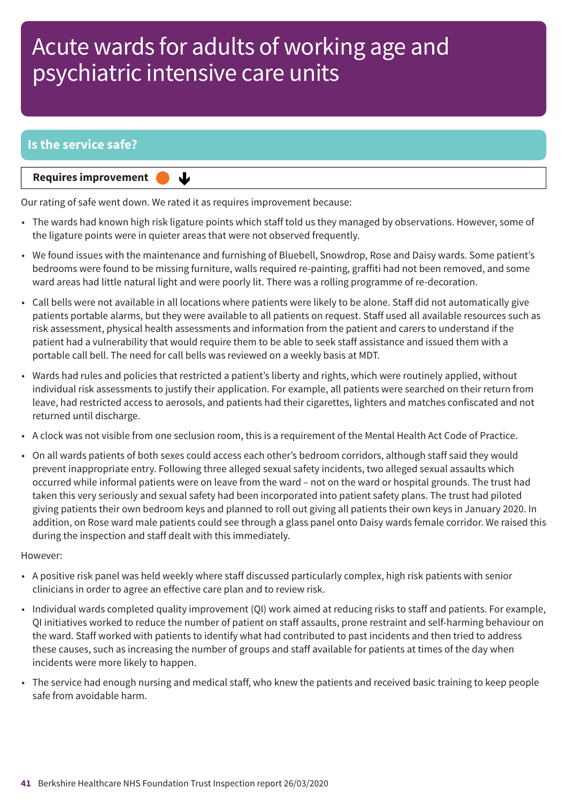### **Is the service safe?**

**Requires improvement** 

Our rating of safe went down. We rated it as requires improvement because:

↓

- The wards had known high risk ligature points which staff told us they managed by observations. However, some of the ligature points were in quieter areas that were not observed frequently.
- We found issues with the maintenance and furnishing of Bluebell, Snowdrop, Rose and Daisy wards. Some patient's bedrooms were found to be missing furniture, walls required re-painting, graffiti had not been removed, and some ward areas had little natural light and were poorly lit. There was a rolling programme of re-decoration.
- Call bells were not available in all locations where patients were likely to be alone. Staff did not automatically give patients portable alarms, but they were available to all patients on request. Staff used all available resources such as risk assessment, physical health assessments and information from the patient and carers to understand if the patient had a vulnerability that would require them to be able to seek staff assistance and issued them with a portable call bell. The need for call bells was reviewed on a weekly basis at MDT.
- Wards had rules and policies that restricted a patient's liberty and rights, which were routinely applied, without individual risk assessments to justify their application. For example, all patients were searched on their return from leave, had restricted access to aerosols, and patients had their cigarettes, lighters and matches confiscated and not returned until discharge.
- A clock was not visible from one seclusion room, this is a requirement of the Mental Health Act Code of Practice.
- On all wards patients of both sexes could access each other's bedroom corridors, although staff said they would prevent inappropriate entry. Following three alleged sexual safety incidents, two alleged sexual assaults which occurred while informal patients were on leave from the ward – not on the ward or hospital grounds. The trust had taken this very seriously and sexual safety had been incorporated into patient safety plans. The trust had piloted giving patients their own bedroom keys and planned to roll out giving all patients their own keys in January 2020. In addition, on Rose ward male patients could see through a glass panel onto Daisy wards female corridor. We raised this during the inspection and staff dealt with this immediately.

#### However:

- A positive risk panel was held weekly where staff discussed particularly complex, high risk patients with senior clinicians in order to agree an effective care plan and to review risk.
- Individual wards completed quality improvement (QI) work aimed at reducing risks to staff and patients. For example, QI initiatives worked to reduce the number of patient on staff assaults, prone restraint and self-harming behaviour on the ward. Staff worked with patients to identify what had contributed to past incidents and then tried to address these causes, such as increasing the number of groups and staff available for patients at times of the day when incidents were more likely to happen.
- The service had enough nursing and medical staff, who knew the patients and received basic training to keep people safe from avoidable harm.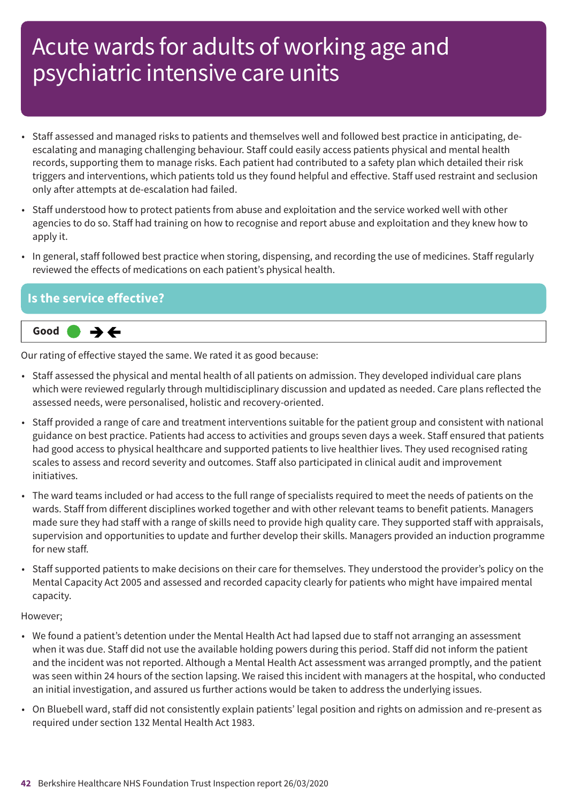- Staff assessed and managed risks to patients and themselves well and followed best practice in anticipating, deescalating and managing challenging behaviour. Staff could easily access patients physical and mental health records, supporting them to manage risks. Each patient had contributed to a safety plan which detailed their risk triggers and interventions, which patients told us they found helpful and effective. Staff used restraint and seclusion only after attempts at de-escalation had failed.
- Staff understood how to protect patients from abuse and exploitation and the service worked well with other agencies to do so. Staff had training on how to recognise and report abuse and exploitation and they knew how to apply it.
- In general, staff followed best practice when storing, dispensing, and recording the use of medicines. Staff regularly reviewed the effects of medications on each patient's physical health.

#### **Is the service effective?**



Our rating of effective stayed the same. We rated it as good because:

- Staff assessed the physical and mental health of all patients on admission. They developed individual care plans which were reviewed regularly through multidisciplinary discussion and updated as needed. Care plans reflected the assessed needs, were personalised, holistic and recovery-oriented.
- Staff provided a range of care and treatment interventions suitable for the patient group and consistent with national guidance on best practice. Patients had access to activities and groups seven days a week. Staff ensured that patients had good access to physical healthcare and supported patients to live healthier lives. They used recognised rating scales to assess and record severity and outcomes. Staff also participated in clinical audit and improvement initiatives.
- The ward teams included or had access to the full range of specialists required to meet the needs of patients on the wards. Staff from different disciplines worked together and with other relevant teams to benefit patients. Managers made sure they had staff with a range of skills need to provide high quality care. They supported staff with appraisals, supervision and opportunities to update and further develop their skills. Managers provided an induction programme for new staff.
- Staff supported patients to make decisions on their care for themselves. They understood the provider's policy on the Mental Capacity Act 2005 and assessed and recorded capacity clearly for patients who might have impaired mental capacity.

#### However;

- We found a patient's detention under the Mental Health Act had lapsed due to staff not arranging an assessment when it was due. Staff did not use the available holding powers during this period. Staff did not inform the patient and the incident was not reported. Although a Mental Health Act assessment was arranged promptly, and the patient was seen within 24 hours of the section lapsing. We raised this incident with managers at the hospital, who conducted an initial investigation, and assured us further actions would be taken to address the underlying issues.
- On Bluebell ward, staff did not consistently explain patients' legal position and rights on admission and re-present as required under section 132 Mental Health Act 1983.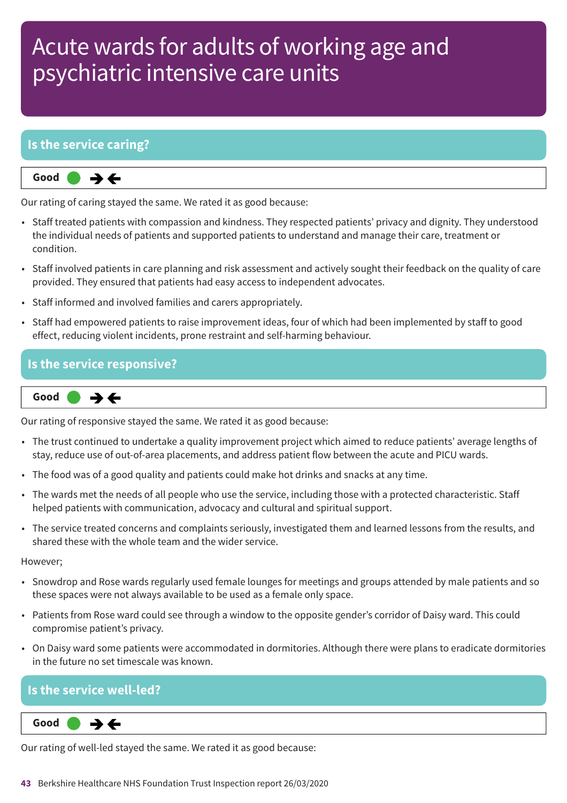### **Is the service caring?**

**Same–––rating Good –––**  $\rightarrow$   $\leftarrow$ 

Our rating of caring stayed the same. We rated it as good because:

- Staff treated patients with compassion and kindness. They respected patients' privacy and dignity. They understood the individual needs of patients and supported patients to understand and manage their care, treatment or condition.
- Staff involved patients in care planning and risk assessment and actively sought their feedback on the quality of care provided. They ensured that patients had easy access to independent advocates.
- Staff informed and involved families and carers appropriately.
- Staff had empowered patients to raise improvement ideas, four of which had been implemented by staff to good effect, reducing violent incidents, prone restraint and self-harming behaviour.

#### **Is the service responsive?**



Our rating of responsive stayed the same. We rated it as good because:

- The trust continued to undertake a quality improvement project which aimed to reduce patients' average lengths of stay, reduce use of out-of-area placements, and address patient flow between the acute and PICU wards.
- The food was of a good quality and patients could make hot drinks and snacks at any time.
- The wards met the needs of all people who use the service, including those with a protected characteristic. Staff helped patients with communication, advocacy and cultural and spiritual support.
- The service treated concerns and complaints seriously, investigated them and learned lessons from the results, and shared these with the whole team and the wider service.

However;

- Snowdrop and Rose wards regularly used female lounges for meetings and groups attended by male patients and so these spaces were not always available to be used as a female only space.
- Patients from Rose ward could see through a window to the opposite gender's corridor of Daisy ward. This could compromise patient's privacy.
- On Daisy ward some patients were accommodated in dormitories. Although there were plans to eradicate dormitories in the future no set timescale was known.

### **Is the service well-led?**

**Same–––rating Good –––**

Our rating of well-led stayed the same. We rated it as good because: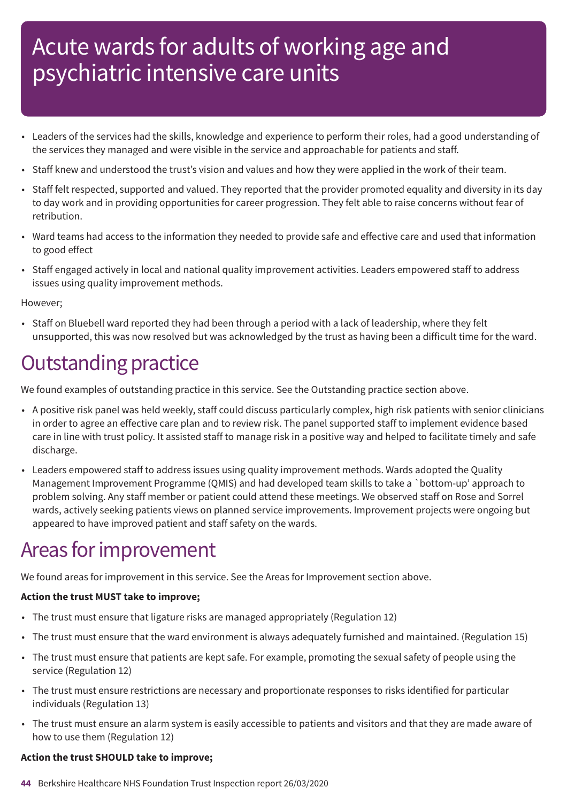- Leaders of the services had the skills, knowledge and experience to perform their roles, had a good understanding of the services they managed and were visible in the service and approachable for patients and staff.
- Staff knew and understood the trust's vision and values and how they were applied in the work of their team.
- Staff felt respected, supported and valued. They reported that the provider promoted equality and diversity in its day to day work and in providing opportunities for career progression. They felt able to raise concerns without fear of retribution.
- Ward teams had access to the information they needed to provide safe and effective care and used that information to good effect
- Staff engaged actively in local and national quality improvement activities. Leaders empowered staff to address issues using quality improvement methods.

#### However;

• Staff on Bluebell ward reported they had been through a period with a lack of leadership, where they felt unsupported, this was now resolved but was acknowledged by the trust as having been a difficult time for the ward.

### **Outstanding practice**

We found examples of outstanding practice in this service. See the Outstanding practice section above.

- A positive risk panel was held weekly, staff could discuss particularly complex, high risk patients with senior clinicians in order to agree an effective care plan and to review risk. The panel supported staff to implement evidence based care in line with trust policy. It assisted staff to manage risk in a positive way and helped to facilitate timely and safe discharge.
- Leaders empowered staff to address issues using quality improvement methods. Wards adopted the Quality Management Improvement Programme (QMIS) and had developed team skills to take a `bottom-up' approach to problem solving. Any staff member or patient could attend these meetings. We observed staff on Rose and Sorrel wards, actively seeking patients views on planned service improvements. Improvement projects were ongoing but appeared to have improved patient and staff safety on the wards.

### Areas for improvement

We found areas for improvement in this service. See the Areas for Improvement section above.

#### **Action the trust MUST take to improve;**

- The trust must ensure that ligature risks are managed appropriately (Regulation 12)
- The trust must ensure that the ward environment is always adequately furnished and maintained. (Regulation 15)
- The trust must ensure that patients are kept safe. For example, promoting the sexual safety of people using the service (Regulation 12)
- The trust must ensure restrictions are necessary and proportionate responses to risks identified for particular individuals (Regulation 13)
- The trust must ensure an alarm system is easily accessible to patients and visitors and that they are made aware of how to use them (Regulation 12)

#### **Action the trust SHOULD take to improve;**

**44** Berkshire Healthcare NHS Foundation Trust Inspection report 26/03/2020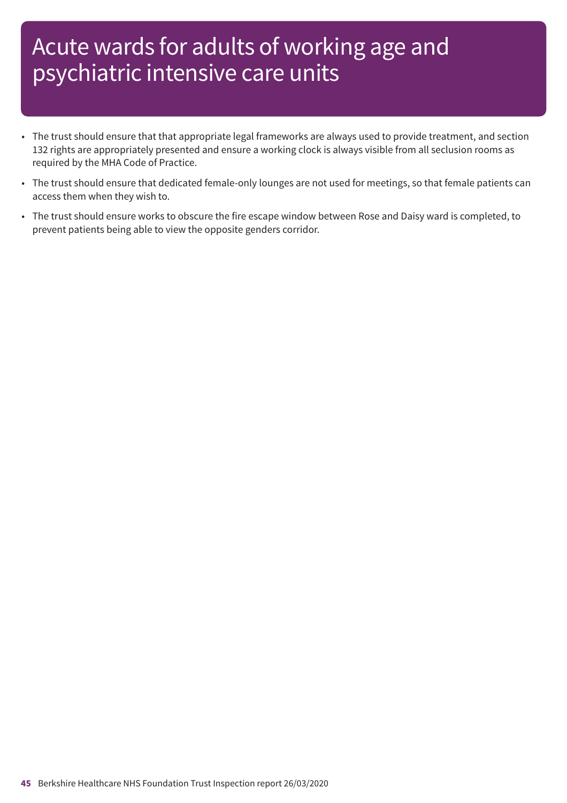- The trust should ensure that that appropriate legal frameworks are always used to provide treatment, and section 132 rights are appropriately presented and ensure a working clock is always visible from all seclusion rooms as required by the MHA Code of Practice.
- The trust should ensure that dedicated female-only lounges are not used for meetings, so that female patients can access them when they wish to.
- The trust should ensure works to obscure the fire escape window between Rose and Daisy ward is completed, to prevent patients being able to view the opposite genders corridor.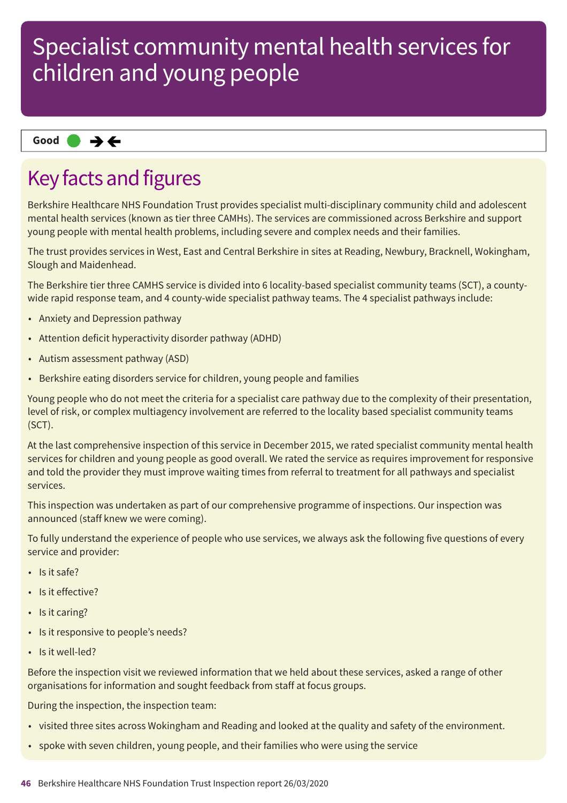**Same–––rating Good –––**

### Key facts and figures

Berkshire Healthcare NHS Foundation Trust provides specialist multi-disciplinary community child and adolescent mental health services (known as tier three CAMHs). The services are commissioned across Berkshire and support young people with mental health problems, including severe and complex needs and their families.

The trust provides services in West, East and Central Berkshire in sites at Reading, Newbury, Bracknell, Wokingham, Slough and Maidenhead.

The Berkshire tier three CAMHS service is divided into 6 locality-based specialist community teams (SCT), a countywide rapid response team, and 4 county-wide specialist pathway teams. The 4 specialist pathways include:

- Anxiety and Depression pathway
- Attention deficit hyperactivity disorder pathway (ADHD)
- Autism assessment pathway (ASD)
- Berkshire eating disorders service for children, young people and families

Young people who do not meet the criteria for a specialist care pathway due to the complexity of their presentation, level of risk, or complex multiagency involvement are referred to the locality based specialist community teams (SCT).

At the last comprehensive inspection of this service in December 2015, we rated specialist community mental health services for children and young people as good overall. We rated the service as requires improvement for responsive and told the provider they must improve waiting times from referral to treatment for all pathways and specialist services.

This inspection was undertaken as part of our comprehensive programme of inspections. Our inspection was announced (staff knew we were coming).

To fully understand the experience of people who use services, we always ask the following five questions of every service and provider:

- Is it safe?
- Is it effective?
- Is it caring?
- Is it responsive to people's needs?
- Is it well-led?

Before the inspection visit we reviewed information that we held about these services, asked a range of other organisations for information and sought feedback from staff at focus groups.

During the inspection, the inspection team:

- visited three sites across Wokingham and Reading and looked at the quality and safety of the environment.
- spoke with seven children, young people, and their families who were using the service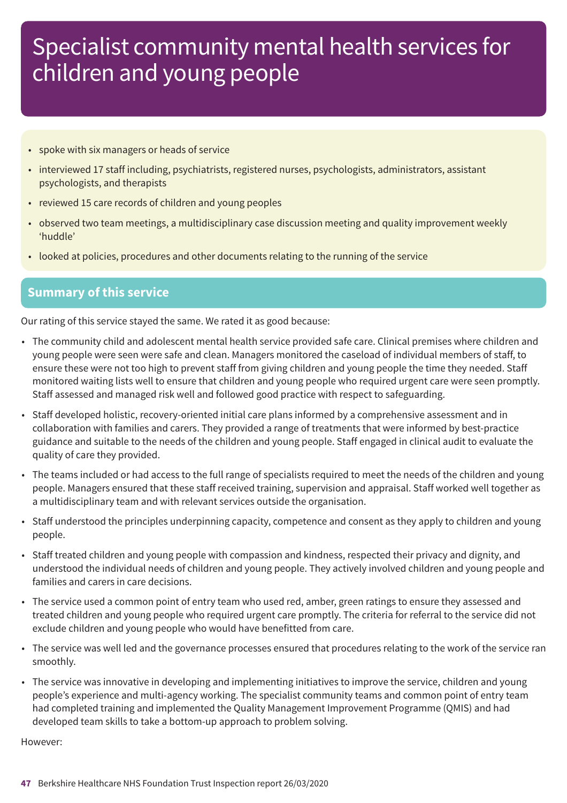- spoke with six managers or heads of service
- interviewed 17 staff including, psychiatrists, registered nurses, psychologists, administrators, assistant psychologists, and therapists
- reviewed 15 care records of children and young peoples
- observed two team meetings, a multidisciplinary case discussion meeting and quality improvement weekly 'huddle'
- looked at policies, procedures and other documents relating to the running of the service

#### **Summary of this service**

Our rating of this service stayed the same. We rated it as good because:

- The community child and adolescent mental health service provided safe care. Clinical premises where children and young people were seen were safe and clean. Managers monitored the caseload of individual members of staff, to ensure these were not too high to prevent staff from giving children and young people the time they needed. Staff monitored waiting lists well to ensure that children and young people who required urgent care were seen promptly. Staff assessed and managed risk well and followed good practice with respect to safeguarding.
- Staff developed holistic, recovery-oriented initial care plans informed by a comprehensive assessment and in collaboration with families and carers. They provided a range of treatments that were informed by best-practice guidance and suitable to the needs of the children and young people. Staff engaged in clinical audit to evaluate the quality of care they provided.
- The teams included or had access to the full range of specialists required to meet the needs of the children and young people. Managers ensured that these staff received training, supervision and appraisal. Staff worked well together as a multidisciplinary team and with relevant services outside the organisation.
- Staff understood the principles underpinning capacity, competence and consent as they apply to children and young people.
- Staff treated children and young people with compassion and kindness, respected their privacy and dignity, and understood the individual needs of children and young people. They actively involved children and young people and families and carers in care decisions.
- The service used a common point of entry team who used red, amber, green ratings to ensure they assessed and treated children and young people who required urgent care promptly. The criteria for referral to the service did not exclude children and young people who would have benefitted from care.
- The service was well led and the governance processes ensured that procedures relating to the work of the service ran smoothly.
- The service was innovative in developing and implementing initiatives to improve the service, children and young people's experience and multi-agency working. The specialist community teams and common point of entry team had completed training and implemented the Quality Management Improvement Programme (QMIS) and had developed team skills to take a bottom-up approach to problem solving.

However: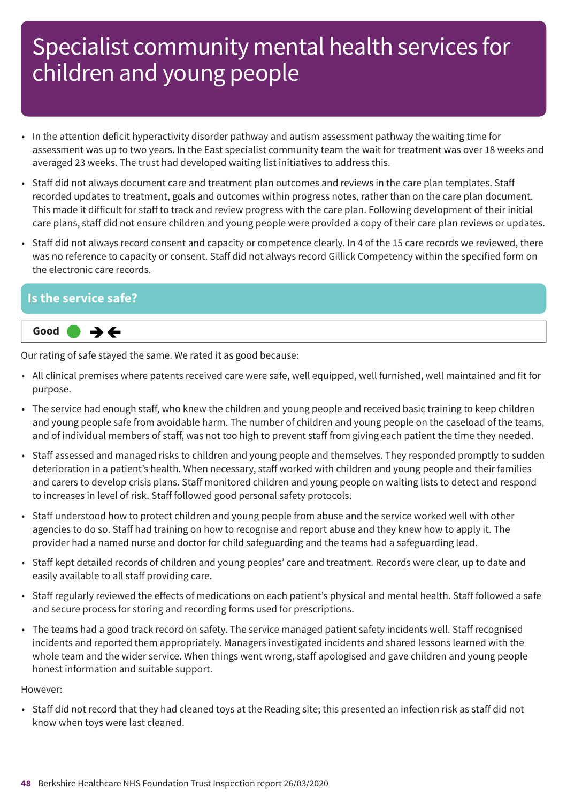- In the attention deficit hyperactivity disorder pathway and autism assessment pathway the waiting time for assessment was up to two years. In the East specialist community team the wait for treatment was over 18 weeks and averaged 23 weeks. The trust had developed waiting list initiatives to address this.
- Staff did not always document care and treatment plan outcomes and reviews in the care plan templates. Staff recorded updates to treatment, goals and outcomes within progress notes, rather than on the care plan document. This made it difficult for staff to track and review progress with the care plan. Following development of their initial care plans, staff did not ensure children and young people were provided a copy of their care plan reviews or updates.
- Staff did not always record consent and capacity or competence clearly. In 4 of the 15 care records we reviewed, there was no reference to capacity or consent. Staff did not always record Gillick Competency within the specified form on the electronic care records.

#### **Is the service safe?**



Our rating of safe stayed the same. We rated it as good because:

- All clinical premises where patents received care were safe, well equipped, well furnished, well maintained and fit for purpose.
- The service had enough staff, who knew the children and young people and received basic training to keep children and young people safe from avoidable harm. The number of children and young people on the caseload of the teams, and of individual members of staff, was not too high to prevent staff from giving each patient the time they needed.
- Staff assessed and managed risks to children and young people and themselves. They responded promptly to sudden deterioration in a patient's health. When necessary, staff worked with children and young people and their families and carers to develop crisis plans. Staff monitored children and young people on waiting lists to detect and respond to increases in level of risk. Staff followed good personal safety protocols.
- Staff understood how to protect children and young people from abuse and the service worked well with other agencies to do so. Staff had training on how to recognise and report abuse and they knew how to apply it. The provider had a named nurse and doctor for child safeguarding and the teams had a safeguarding lead.
- Staff kept detailed records of children and young peoples' care and treatment. Records were clear, up to date and easily available to all staff providing care.
- Staff regularly reviewed the effects of medications on each patient's physical and mental health. Staff followed a safe and secure process for storing and recording forms used for prescriptions.
- The teams had a good track record on safety. The service managed patient safety incidents well. Staff recognised incidents and reported them appropriately. Managers investigated incidents and shared lessons learned with the whole team and the wider service. When things went wrong, staff apologised and gave children and young people honest information and suitable support.

However:

• Staff did not record that they had cleaned toys at the Reading site; this presented an infection risk as staff did not know when toys were last cleaned.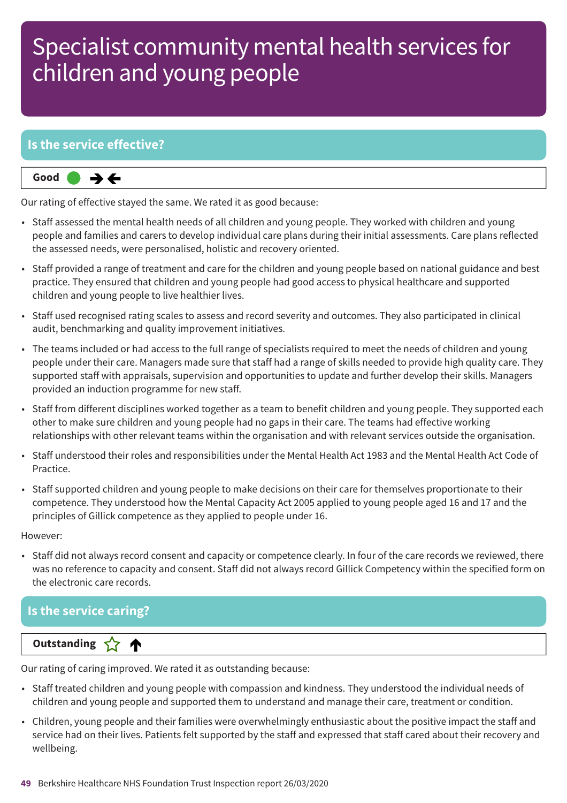### **Is the service effective?**



Our rating of effective stayed the same. We rated it as good because:

- Staff assessed the mental health needs of all children and young people. They worked with children and young people and families and carers to develop individual care plans during their initial assessments. Care plans reflected the assessed needs, were personalised, holistic and recovery oriented.
- Staff provided a range of treatment and care for the children and young people based on national guidance and best practice. They ensured that children and young people had good access to physical healthcare and supported children and young people to live healthier lives.
- Staff used recognised rating scales to assess and record severity and outcomes. They also participated in clinical audit, benchmarking and quality improvement initiatives.
- The teams included or had access to the full range of specialists required to meet the needs of children and young people under their care. Managers made sure that staff had a range of skills needed to provide high quality care. They supported staff with appraisals, supervision and opportunities to update and further develop their skills. Managers provided an induction programme for new staff.
- Staff from different disciplines worked together as a team to benefit children and young people. They supported each other to make sure children and young people had no gaps in their care. The teams had effective working relationships with other relevant teams within the organisation and with relevant services outside the organisation.
- Staff understood their roles and responsibilities under the Mental Health Act 1983 and the Mental Health Act Code of Practice.
- Staff supported children and young people to make decisions on their care for themselves proportionate to their competence. They understood how the Mental Capacity Act 2005 applied to young people aged 16 and 17 and the principles of Gillick competence as they applied to people under 16.

However:

• Staff did not always record consent and capacity or competence clearly. In four of the care records we reviewed, there was no reference to capacity and consent. Staff did not always record Gillick Competency within the specified form on the electronic care records.

### **Is the service caring?**

#### **Dutstanding**

Our rating of caring improved. We rated it as outstanding because:

- Staff treated children and young people with compassion and kindness. They understood the individual needs of children and young people and supported them to understand and manage their care, treatment or condition.
- Children, young people and their families were overwhelmingly enthusiastic about the positive impact the staff and service had on their lives. Patients felt supported by the staff and expressed that staff cared about their recovery and wellbeing.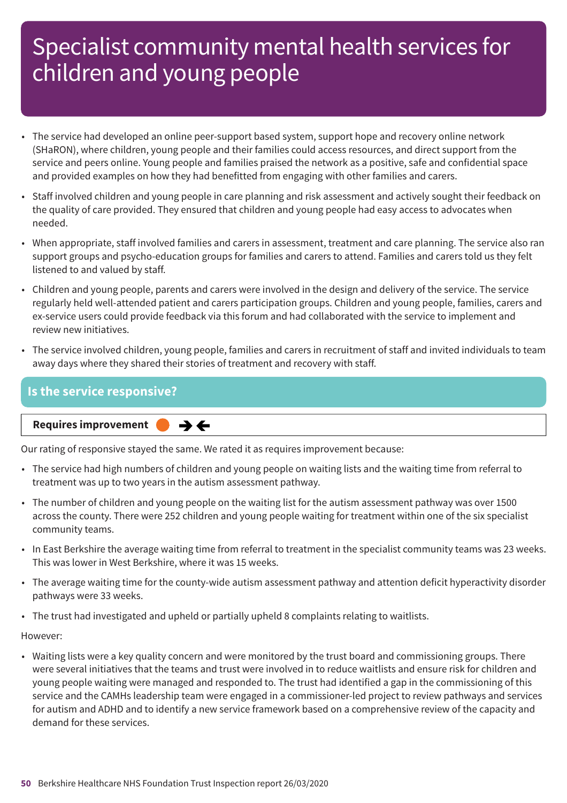- The service had developed an online peer-support based system, support hope and recovery online network (SHaRON), where children, young people and their families could access resources, and direct support from the service and peers online. Young people and families praised the network as a positive, safe and confidential space and provided examples on how they had benefitted from engaging with other families and carers.
- Staff involved children and young people in care planning and risk assessment and actively sought their feedback on the quality of care provided. They ensured that children and young people had easy access to advocates when needed.
- When appropriate, staff involved families and carers in assessment, treatment and care planning. The service also ran support groups and psycho-education groups for families and carers to attend. Families and carers told us they felt listened to and valued by staff.
- Children and young people, parents and carers were involved in the design and delivery of the service. The service regularly held well-attended patient and carers participation groups. Children and young people, families, carers and ex-service users could provide feedback via this forum and had collaborated with the service to implement and review new initiatives.
- The service involved children, young people, families and carers in recruitment of staff and invited individuals to team away days where they shared their stories of treatment and recovery with staff.

#### **Is the service responsive?**

#### **Requires improvement**  $\rightarrow$   $\leftarrow$

Our rating of responsive stayed the same. We rated it as requires improvement because:

- The service had high numbers of children and young people on waiting lists and the waiting time from referral to treatment was up to two years in the autism assessment pathway.
- The number of children and young people on the waiting list for the autism assessment pathway was over 1500 across the county. There were 252 children and young people waiting for treatment within one of the six specialist community teams.
- In East Berkshire the average waiting time from referral to treatment in the specialist community teams was 23 weeks. This was lower in West Berkshire, where it was 15 weeks.
- The average waiting time for the county-wide autism assessment pathway and attention deficit hyperactivity disorder pathways were 33 weeks.
- The trust had investigated and upheld or partially upheld 8 complaints relating to waitlists.

#### However:

• Waiting lists were a key quality concern and were monitored by the trust board and commissioning groups. There were several initiatives that the teams and trust were involved in to reduce waitlists and ensure risk for children and young people waiting were managed and responded to. The trust had identified a gap in the commissioning of this service and the CAMHs leadership team were engaged in a commissioner-led project to review pathways and services for autism and ADHD and to identify a new service framework based on a comprehensive review of the capacity and demand for these services.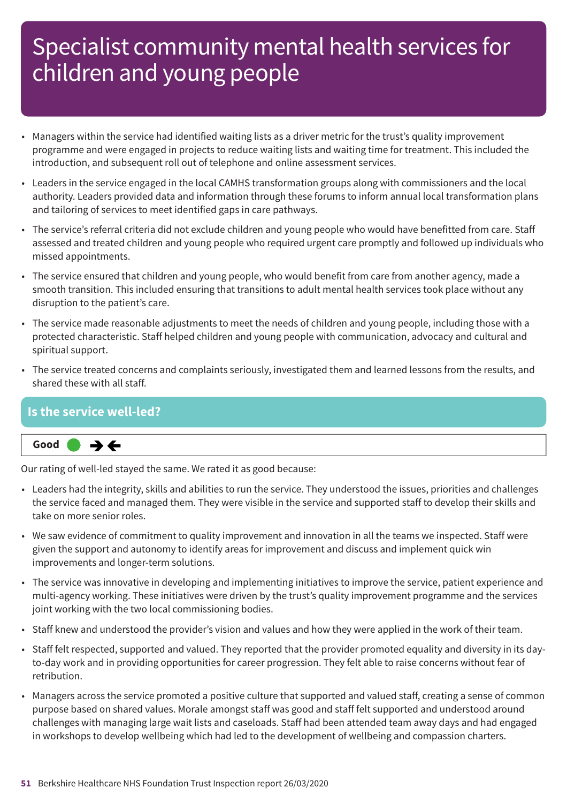- Managers within the service had identified waiting lists as a driver metric for the trust's quality improvement programme and were engaged in projects to reduce waiting lists and waiting time for treatment. This included the introduction, and subsequent roll out of telephone and online assessment services.
- Leaders in the service engaged in the local CAMHS transformation groups along with commissioners and the local authority. Leaders provided data and information through these forums to inform annual local transformation plans and tailoring of services to meet identified gaps in care pathways.
- The service's referral criteria did not exclude children and young people who would have benefitted from care. Staff assessed and treated children and young people who required urgent care promptly and followed up individuals who missed appointments.
- The service ensured that children and young people, who would benefit from care from another agency, made a smooth transition. This included ensuring that transitions to adult mental health services took place without any disruption to the patient's care.
- The service made reasonable adjustments to meet the needs of children and young people, including those with a protected characteristic. Staff helped children and young people with communication, advocacy and cultural and spiritual support.
- The service treated concerns and complaints seriously, investigated them and learned lessons from the results, and shared these with all staff.

#### **Is the service well-led?**



Our rating of well-led stayed the same. We rated it as good because:

- Leaders had the integrity, skills and abilities to run the service. They understood the issues, priorities and challenges the service faced and managed them. They were visible in the service and supported staff to develop their skills and take on more senior roles.
- We saw evidence of commitment to quality improvement and innovation in all the teams we inspected. Staff were given the support and autonomy to identify areas for improvement and discuss and implement quick win improvements and longer-term solutions.
- The service was innovative in developing and implementing initiatives to improve the service, patient experience and multi-agency working. These initiatives were driven by the trust's quality improvement programme and the services joint working with the two local commissioning bodies.
- Staff knew and understood the provider's vision and values and how they were applied in the work of their team.
- Staff felt respected, supported and valued. They reported that the provider promoted equality and diversity in its dayto-day work and in providing opportunities for career progression. They felt able to raise concerns without fear of retribution.
- Managers across the service promoted a positive culture that supported and valued staff, creating a sense of common purpose based on shared values. Morale amongst staff was good and staff felt supported and understood around challenges with managing large wait lists and caseloads. Staff had been attended team away days and had engaged in workshops to develop wellbeing which had led to the development of wellbeing and compassion charters.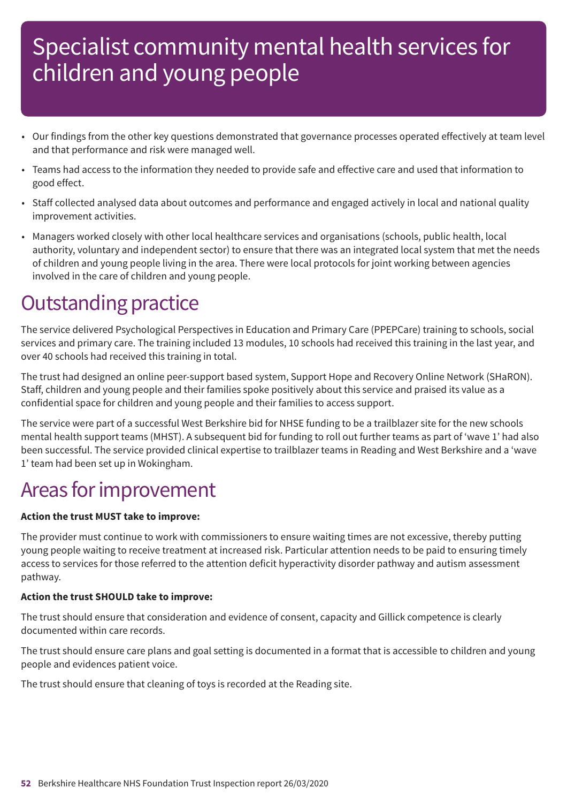- Our findings from the other key questions demonstrated that governance processes operated effectively at team level and that performance and risk were managed well.
- Teams had access to the information they needed to provide safe and effective care and used that information to good effect.
- Staff collected analysed data about outcomes and performance and engaged actively in local and national quality improvement activities.
- Managers worked closely with other local healthcare services and organisations (schools, public health, local authority, voluntary and independent sector) to ensure that there was an integrated local system that met the needs of children and young people living in the area. There were local protocols for joint working between agencies involved in the care of children and young people.

### **Outstanding practice**

The service delivered Psychological Perspectives in Education and Primary Care (PPEPCare) training to schools, social services and primary care. The training included 13 modules, 10 schools had received this training in the last year, and over 40 schools had received this training in total.

The trust had designed an online peer-support based system, Support Hope and Recovery Online Network (SHaRON). Staff, children and young people and their families spoke positively about this service and praised its value as a confidential space for children and young people and their families to access support.

The service were part of a successful West Berkshire bid for NHSE funding to be a trailblazer site for the new schools mental health support teams (MHST). A subsequent bid for funding to roll out further teams as part of 'wave 1' had also been successful. The service provided clinical expertise to trailblazer teams in Reading and West Berkshire and a 'wave 1' team had been set up in Wokingham.

### Areas for improvement

#### **Action the trust MUST take to improve:**

The provider must continue to work with commissioners to ensure waiting times are not excessive, thereby putting young people waiting to receive treatment at increased risk. Particular attention needs to be paid to ensuring timely access to services for those referred to the attention deficit hyperactivity disorder pathway and autism assessment pathway.

#### **Action the trust SHOULD take to improve:**

The trust should ensure that consideration and evidence of consent, capacity and Gillick competence is clearly documented within care records.

The trust should ensure care plans and goal setting is documented in a format that is accessible to children and young people and evidences patient voice.

The trust should ensure that cleaning of toys is recorded at the Reading site.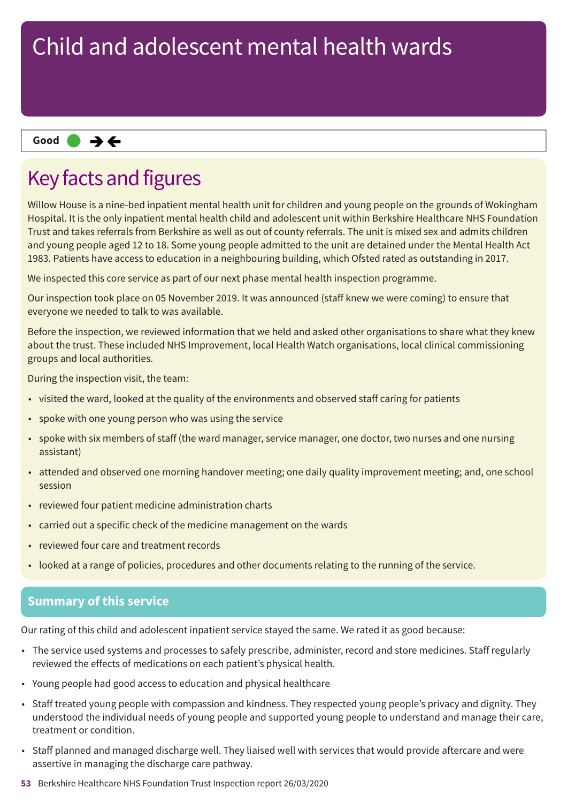#### **Same–––rating Good –––**

### Key facts and figures

Willow House is a nine-bed inpatient mental health unit for children and young people on the grounds of Wokingham Hospital. It is the only inpatient mental health child and adolescent unit within Berkshire Healthcare NHS Foundation Trust and takes referrals from Berkshire as well as out of county referrals. The unit is mixed sex and admits children and young people aged 12 to 18. Some young people admitted to the unit are detained under the Mental Health Act 1983. Patients have access to education in a neighbouring building, which Ofsted rated as outstanding in 2017.

We inspected this core service as part of our next phase mental health inspection programme.

Our inspection took place on 05 November 2019. It was announced (staff knew we were coming) to ensure that everyone we needed to talk to was available.

Before the inspection, we reviewed information that we held and asked other organisations to share what they knew about the trust. These included NHS Improvement, local Health Watch organisations, local clinical commissioning groups and local authorities.

During the inspection visit, the team:

- visited the ward, looked at the quality of the environments and observed staff caring for patients
- spoke with one young person who was using the service
- spoke with six members of staff (the ward manager, service manager, one doctor, two nurses and one nursing assistant)
- attended and observed one morning handover meeting; one daily quality improvement meeting; and, one school session
- reviewed four patient medicine administration charts
- carried out a specific check of the medicine management on the wards
- reviewed four care and treatment records
- looked at a range of policies, procedures and other documents relating to the running of the service.

### **Summary of this service**

Our rating of this child and adolescent inpatient service stayed the same. We rated it as good because:

- The service used systems and processes to safely prescribe, administer, record and store medicines. Staff regularly reviewed the effects of medications on each patient's physical health.
- Young people had good access to education and physical healthcare
- Staff treated young people with compassion and kindness. They respected young people's privacy and dignity. They understood the individual needs of young people and supported young people to understand and manage their care, treatment or condition.
- Staff planned and managed discharge well. They liaised well with services that would provide aftercare and were assertive in managing the discharge care pathway.
- **53** Berkshire Healthcare NHS Foundation Trust Inspection report 26/03/2020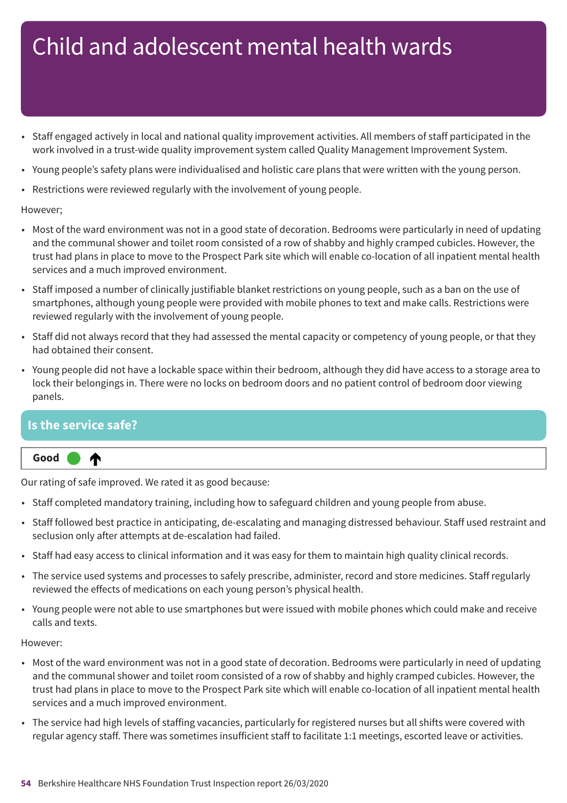- Staff engaged actively in local and national quality improvement activities. All members of staff participated in the work involved in a trust-wide quality improvement system called Quality Management Improvement System.
- Young people's safety plans were individualised and holistic care plans that were written with the young person.
- Restrictions were reviewed regularly with the involvement of young people.

#### However;

- Most of the ward environment was not in a good state of decoration. Bedrooms were particularly in need of updating and the communal shower and toilet room consisted of a row of shabby and highly cramped cubicles. However, the trust had plans in place to move to the Prospect Park site which will enable co-location of all inpatient mental health services and a much improved environment.
- Staff imposed a number of clinically justifiable blanket restrictions on young people, such as a ban on the use of smartphones, although young people were provided with mobile phones to text and make calls. Restrictions were reviewed regularly with the involvement of young people.
- Staff did not always record that they had assessed the mental capacity or competency of young people, or that they had obtained their consent.
- Young people did not have a lockable space within their bedroom, although they did have access to a storage area to lock their belongings in. There were no locks on bedroom doors and no patient control of bedroom door viewing panels.

#### **Is the service safe?**

⋔

#### **Up one rating Good –––**

Our rating of safe improved. We rated it as good because:

- Staff completed mandatory training, including how to safeguard children and young people from abuse.
- Staff followed best practice in anticipating, de-escalating and managing distressed behaviour. Staff used restraint and seclusion only after attempts at de-escalation had failed.
- Staff had easy access to clinical information and it was easy for them to maintain high quality clinical records.
- The service used systems and processes to safely prescribe, administer, record and store medicines. Staff regularly reviewed the effects of medications on each young person's physical health.
- Young people were not able to use smartphones but were issued with mobile phones which could make and receive calls and texts.

#### However:

- Most of the ward environment was not in a good state of decoration. Bedrooms were particularly in need of updating and the communal shower and toilet room consisted of a row of shabby and highly cramped cubicles. However, the trust had plans in place to move to the Prospect Park site which will enable co-location of all inpatient mental health services and a much improved environment.
- The service had high levels of staffing vacancies, particularly for registered nurses but all shifts were covered with regular agency staff. There was sometimes insufficient staff to facilitate 1:1 meetings, escorted leave or activities.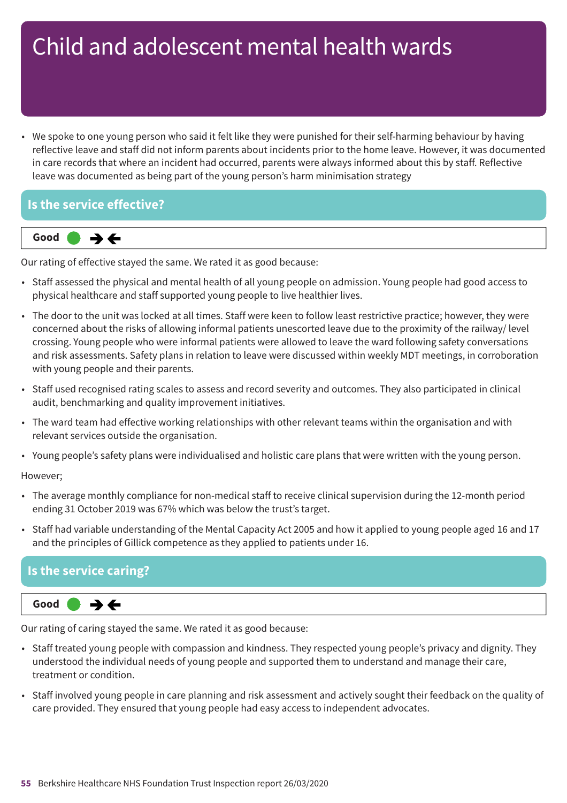• We spoke to one young person who said it felt like they were punished for their self-harming behaviour by having reflective leave and staff did not inform parents about incidents prior to the home leave. However, it was documented in care records that where an incident had occurred, parents were always informed about this by staff. Reflective leave was documented as being part of the young person's harm minimisation strategy

#### **Is the service effective?**



Our rating of effective stayed the same. We rated it as good because:

- Staff assessed the physical and mental health of all young people on admission. Young people had good access to physical healthcare and staff supported young people to live healthier lives.
- The door to the unit was locked at all times. Staff were keen to follow least restrictive practice; however, they were concerned about the risks of allowing informal patients unescorted leave due to the proximity of the railway/ level crossing. Young people who were informal patients were allowed to leave the ward following safety conversations and risk assessments. Safety plans in relation to leave were discussed within weekly MDT meetings, in corroboration with young people and their parents.
- Staff used recognised rating scales to assess and record severity and outcomes. They also participated in clinical audit, benchmarking and quality improvement initiatives.
- The ward team had effective working relationships with other relevant teams within the organisation and with relevant services outside the organisation.
- Young people's safety plans were individualised and holistic care plans that were written with the young person.

#### However;

- The average monthly compliance for non-medical staff to receive clinical supervision during the 12-month period ending 31 October 2019 was 67% which was below the trust's target.
- Staff had variable understanding of the Mental Capacity Act 2005 and how it applied to young people aged 16 and 17 and the principles of Gillick competence as they applied to patients under 16.

### **Is the service caring?**

#### **Same–––rating Good –––**  $\rightarrow$   $\leftarrow$

Our rating of caring stayed the same. We rated it as good because:

- Staff treated young people with compassion and kindness. They respected young people's privacy and dignity. They understood the individual needs of young people and supported them to understand and manage their care, treatment or condition.
- Staff involved young people in care planning and risk assessment and actively sought their feedback on the quality of care provided. They ensured that young people had easy access to independent advocates.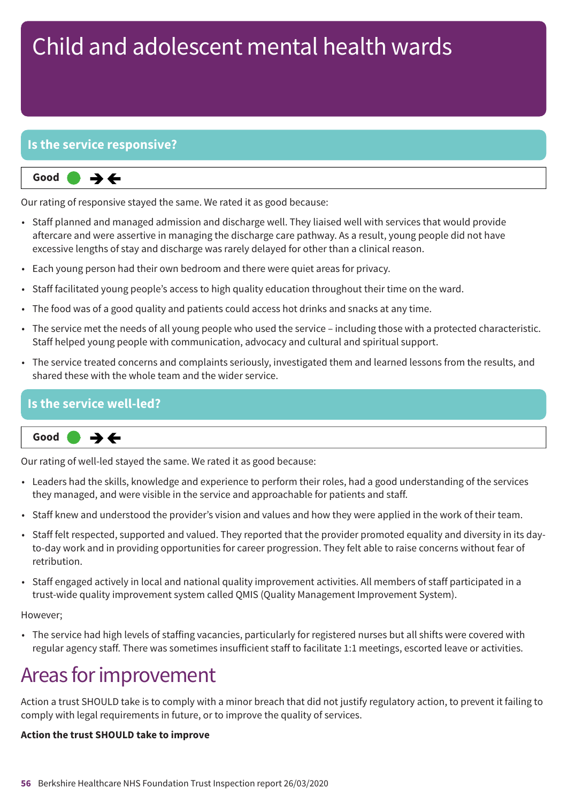#### **Is the service responsive?**

**Same–––rating Good –––**  $\rightarrow$   $\leftarrow$ 

Our rating of responsive stayed the same. We rated it as good because:

- Staff planned and managed admission and discharge well. They liaised well with services that would provide aftercare and were assertive in managing the discharge care pathway. As a result, young people did not have excessive lengths of stay and discharge was rarely delayed for other than a clinical reason.
- Each young person had their own bedroom and there were quiet areas for privacy.
- Staff facilitated young people's access to high quality education throughout their time on the ward.
- The food was of a good quality and patients could access hot drinks and snacks at any time.
- The service met the needs of all young people who used the service including those with a protected characteristic. Staff helped young people with communication, advocacy and cultural and spiritual support.
- The service treated concerns and complaints seriously, investigated them and learned lessons from the results, and shared these with the whole team and the wider service.

### **Is the service well-led?**

**Same–––rating Good –––**  $\rightarrow$   $\leftarrow$ 

Our rating of well-led stayed the same. We rated it as good because:

- Leaders had the skills, knowledge and experience to perform their roles, had a good understanding of the services they managed, and were visible in the service and approachable for patients and staff.
- Staff knew and understood the provider's vision and values and how they were applied in the work of their team.
- Staff felt respected, supported and valued. They reported that the provider promoted equality and diversity in its dayto-day work and in providing opportunities for career progression. They felt able to raise concerns without fear of retribution.
- Staff engaged actively in local and national quality improvement activities. All members of staff participated in a trust-wide quality improvement system called QMIS (Quality Management Improvement System).

However;

• The service had high levels of staffing vacancies, particularly for registered nurses but all shifts were covered with regular agency staff. There was sometimes insufficient staff to facilitate 1:1 meetings, escorted leave or activities.

### Areas for improvement

Action a trust SHOULD take is to comply with a minor breach that did not justify regulatory action, to prevent it failing to comply with legal requirements in future, or to improve the quality of services.

#### **Action the trust SHOULD take to improve**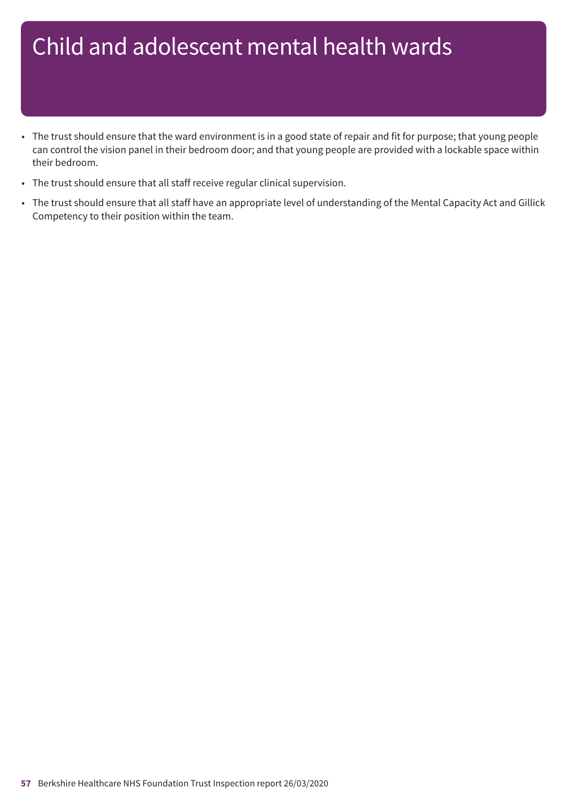- The trust should ensure that the ward environment is in a good state of repair and fit for purpose; that young people can control the vision panel in their bedroom door; and that young people are provided with a lockable space within their bedroom.
- The trust should ensure that all staff receive regular clinical supervision.
- The trust should ensure that all staff have an appropriate level of understanding of the Mental Capacity Act and Gillick Competency to their position within the team.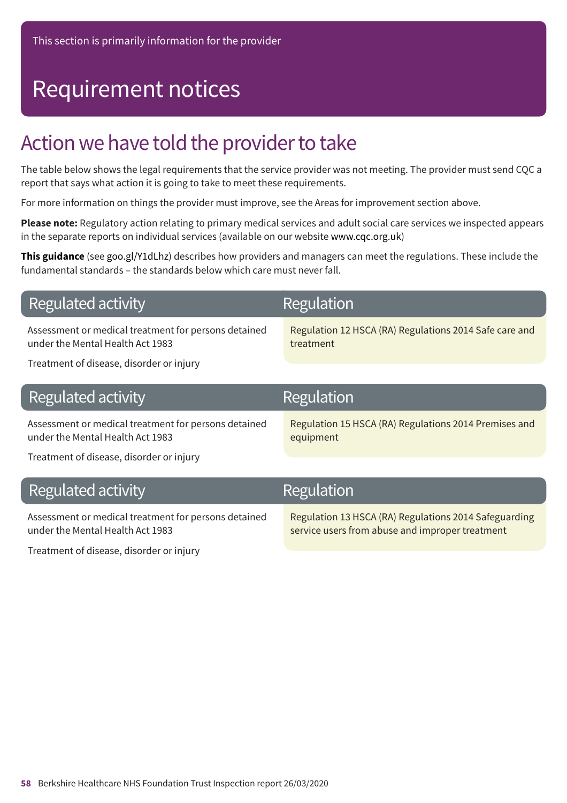# Requirement notices

### Action we have told the provider to take

The table below shows the legal requirements that the service provider was not meeting. The provider must send CQC a report that says what action it is going to take to meet these requirements.

For more information on things the provider must improve, see the Areas for improvement section above.

**Please note:** Regulatory action relating to primary medical services and adult social care services we inspected appears in the separate reports on individual services (available on our website www.cqc.org.uk)

**This guidance** (see goo.gl/Y1dLhz) describes how providers and managers can meet the regulations. These include the fundamental standards – the standards below which care must never fall.

| <b>Regulated activity</b> |  |
|---------------------------|--|
|---------------------------|--|

Assessment or medical treatment for persons detained under the Mental Health Act 1983

Regulation

Regulation 12 HSCA (RA) Regulations 2014 Safe care and treatment

service users from abuse and improper treatment

Treatment of disease, disorder or injury

| Regulated activity                                                                                                                   | Regulation                                                         |
|--------------------------------------------------------------------------------------------------------------------------------------|--------------------------------------------------------------------|
| Assessment or medical treatment for persons detained<br>under the Mental Health Act 1983<br>Treatment of disease, disorder or injury | Regulation 15 HSCA (RA) Regulations 2014 Premises and<br>equipment |
| Regulated activity                                                                                                                   | Regulation                                                         |
| Assessment or medical treatment for persons detained                                                                                 | Regulation 13 HSCA (RA) Regulations 2014 Safeguarding              |

under the Mental Health Act 1983

Treatment of disease, disorder or injury